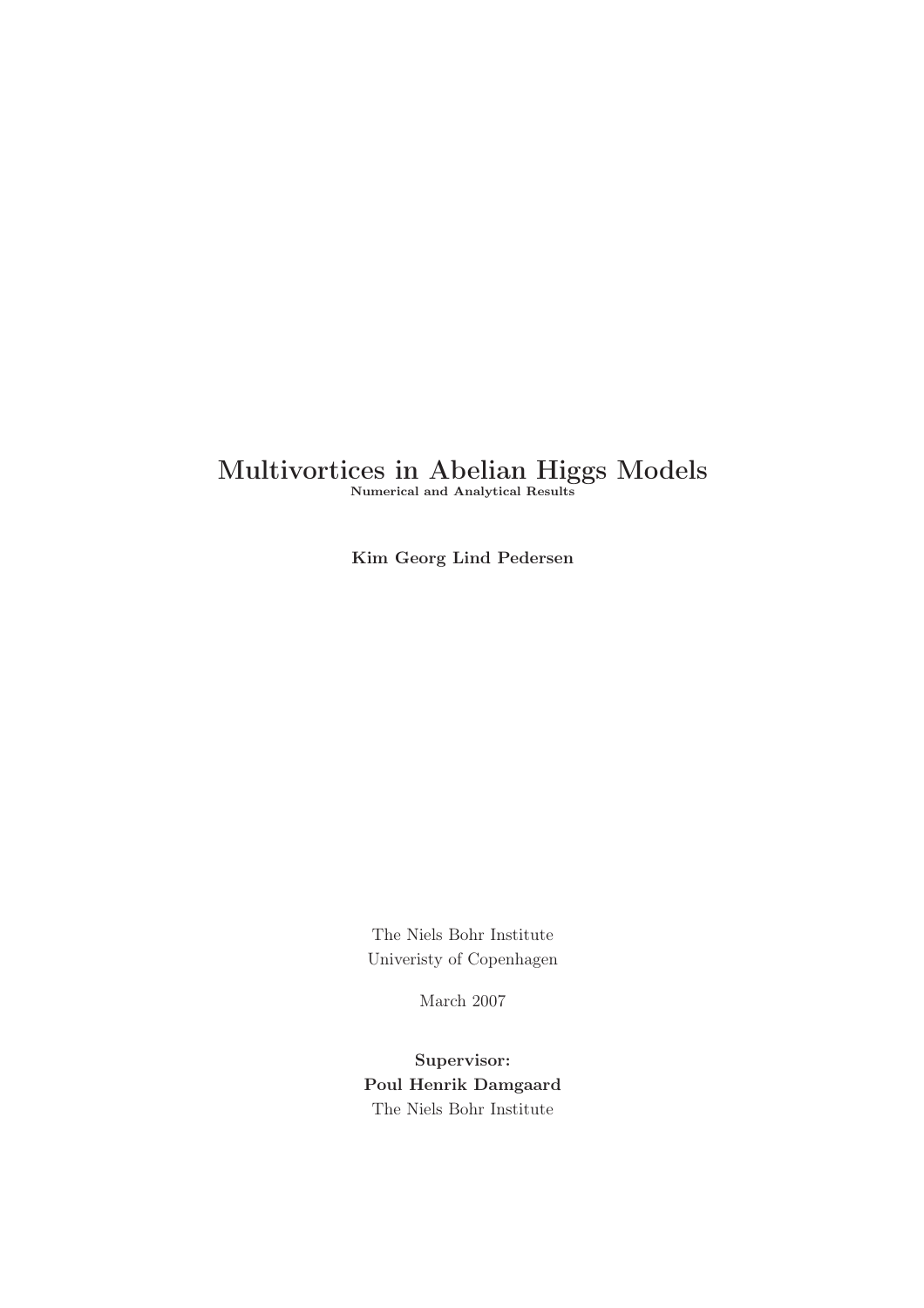# Multivortices in Abelian Higgs Models

Numerical and Analytical Results

Kim Georg Lind Pedersen

The Niels Bohr Institute Univeristy of Copenhagen

March 2007

Supervisor: Poul Henrik Damgaard The Niels Bohr Institute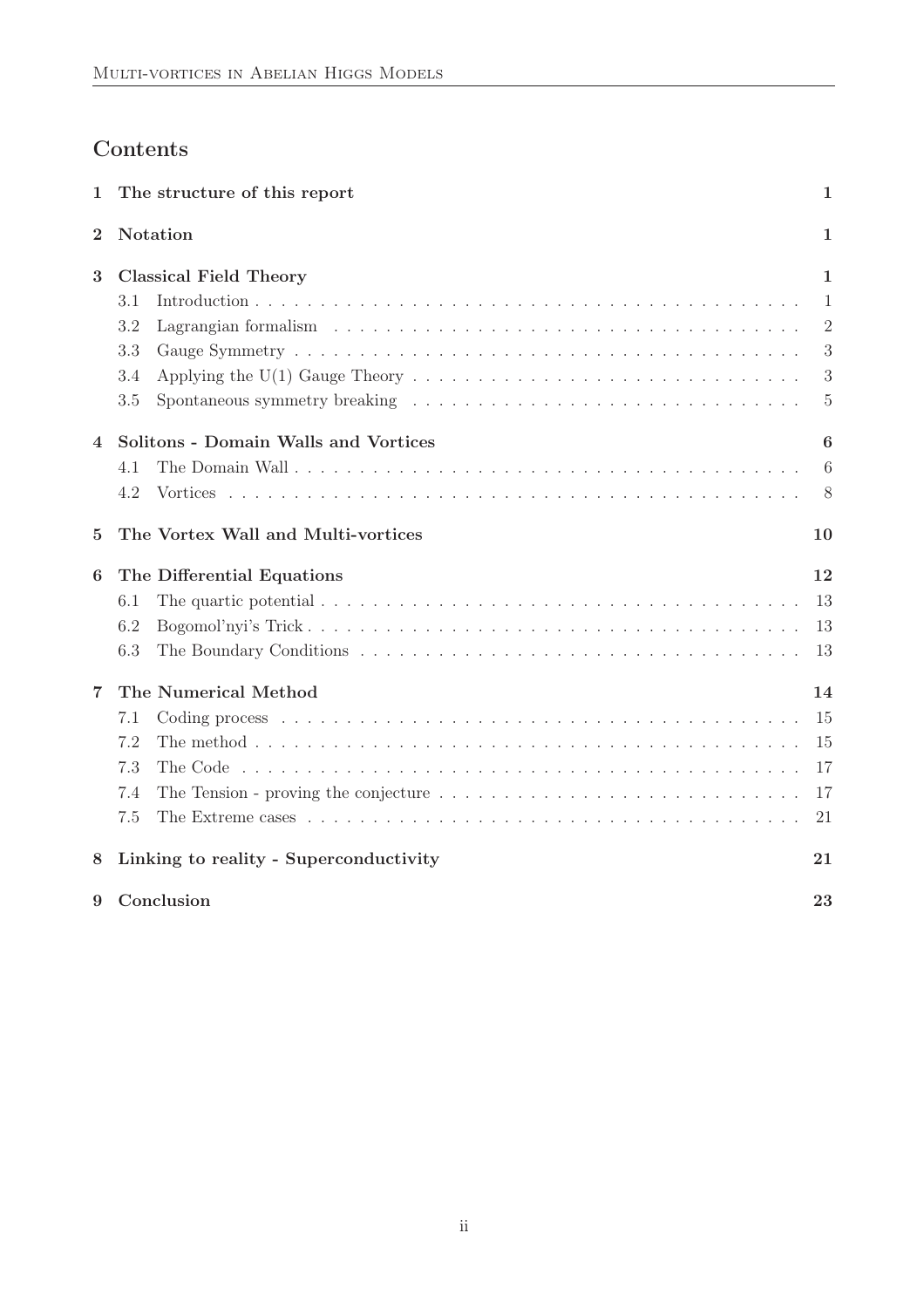# Contents

| 1              | The structure of this report                                                                                          | $\mathbf 1$    |  |  |  |
|----------------|-----------------------------------------------------------------------------------------------------------------------|----------------|--|--|--|
| $\overline{2}$ | Notation<br>1                                                                                                         |                |  |  |  |
| 3              | <b>Classical Field Theory</b><br>1                                                                                    |                |  |  |  |
|                | 3.1                                                                                                                   | 1              |  |  |  |
|                | 3.2                                                                                                                   | $\overline{2}$ |  |  |  |
|                | 3.3                                                                                                                   | 3              |  |  |  |
|                | Applying the U(1) Gauge Theory $\dots \dots \dots \dots \dots \dots \dots \dots \dots \dots \dots \dots \dots$<br>3.4 | 3              |  |  |  |
|                | 3.5                                                                                                                   | 5              |  |  |  |
| 4              | Solitons - Domain Walls and Vortices                                                                                  | 6              |  |  |  |
|                | 4.1                                                                                                                   | 6              |  |  |  |
|                | 4.2                                                                                                                   | 8              |  |  |  |
| 5              | The Vortex Wall and Multi-vortices                                                                                    | 10             |  |  |  |
| 6              | The Differential Equations                                                                                            | 12             |  |  |  |
|                | The quartic potential $\ldots \ldots \ldots \ldots \ldots \ldots \ldots \ldots \ldots \ldots \ldots \ldots$<br>6.1    | 13             |  |  |  |
|                | 6.2                                                                                                                   | 13             |  |  |  |
|                | 6.3                                                                                                                   | 13             |  |  |  |
| 7              | The Numerical Method                                                                                                  | 14             |  |  |  |
|                | 7.1                                                                                                                   | 15             |  |  |  |
|                | 7.2                                                                                                                   | 15             |  |  |  |
|                | 7.3                                                                                                                   | 17             |  |  |  |
|                | The Tension - proving the conjecture $\dots \dots \dots \dots \dots \dots \dots \dots \dots \dots \dots \dots$<br>7.4 | 17             |  |  |  |
|                | 7.5                                                                                                                   | 21             |  |  |  |
| 8              | Linking to reality - Superconductivity                                                                                | 21             |  |  |  |
| 9              | Conclusion                                                                                                            | 23             |  |  |  |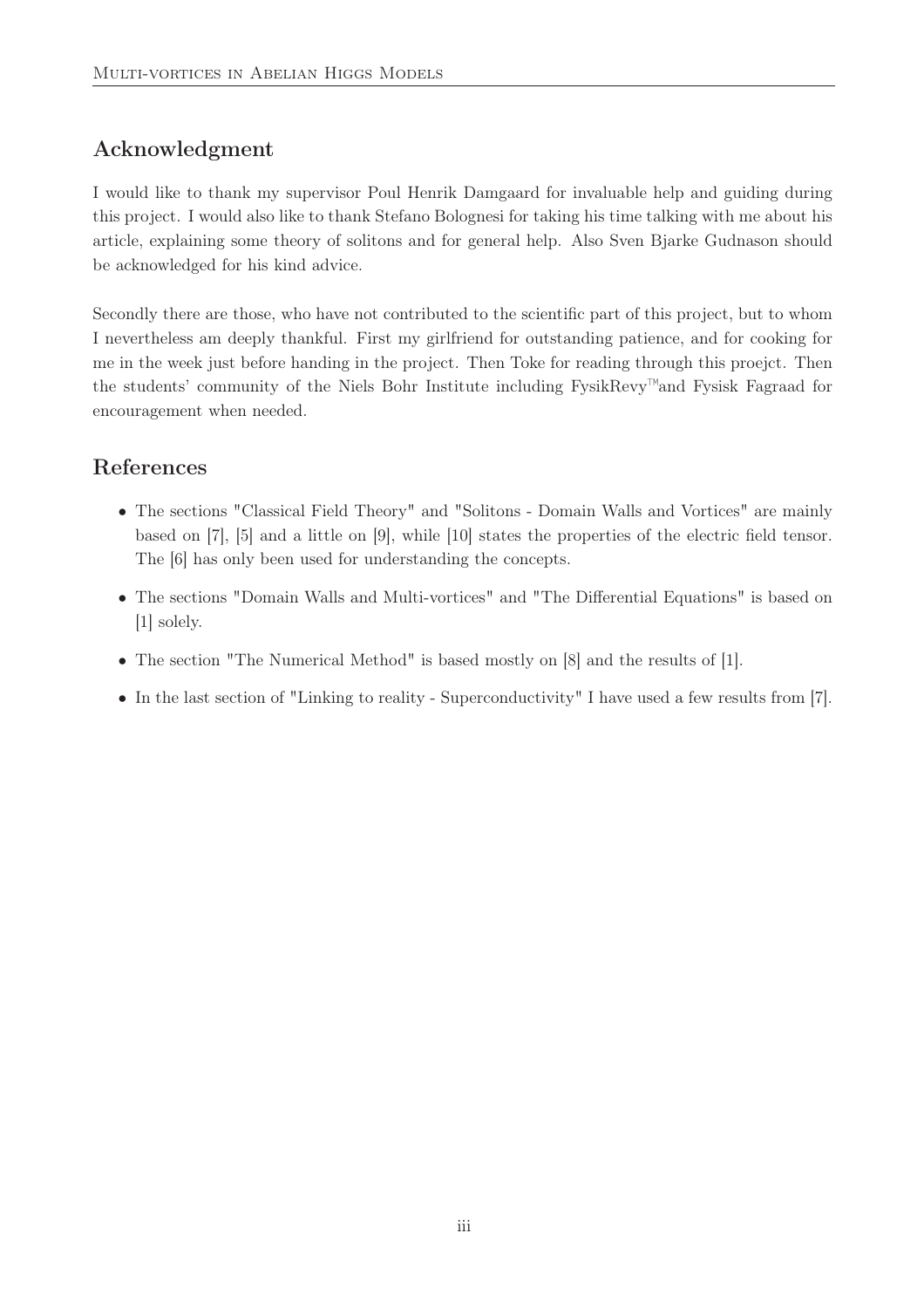## Acknowledgment

I would like to thank my supervisor Poul Henrik Damgaard for invaluable help and guiding during this project. I would also like to thank Stefano Bolognesi for taking his time talking with me about his article, explaining some theory of solitons and for general help. Also Sven Bjarke Gudnason should be acknowledged for his kind advice.

Secondly there are those, who have not contributed to the scientific part of this project, but to whom I nevertheless am deeply thankful. First my girlfriend for outstanding patience, and for cooking for me in the week just before handing in the project. Then Toke for reading through this proejct. Then the students' community of the Niels Bohr Institute including FysikRevy™and Fysisk Fagraad for encouragement when needed.

## References

- The sections "Classical Field Theory" and "Solitons Domain Walls and Vortices" are mainly based on [7], [5] and a little on [9], while [10] states the properties of the electric field tensor. The [6] has only been used for understanding the concepts.
- The sections "Domain Walls and Multi-vortices" and "The Differential Equations" is based on [1] solely.
- The section "The Numerical Method" is based mostly on [8] and the results of [1].
- In the last section of "Linking to reality Superconductivity" I have used a few results from [7].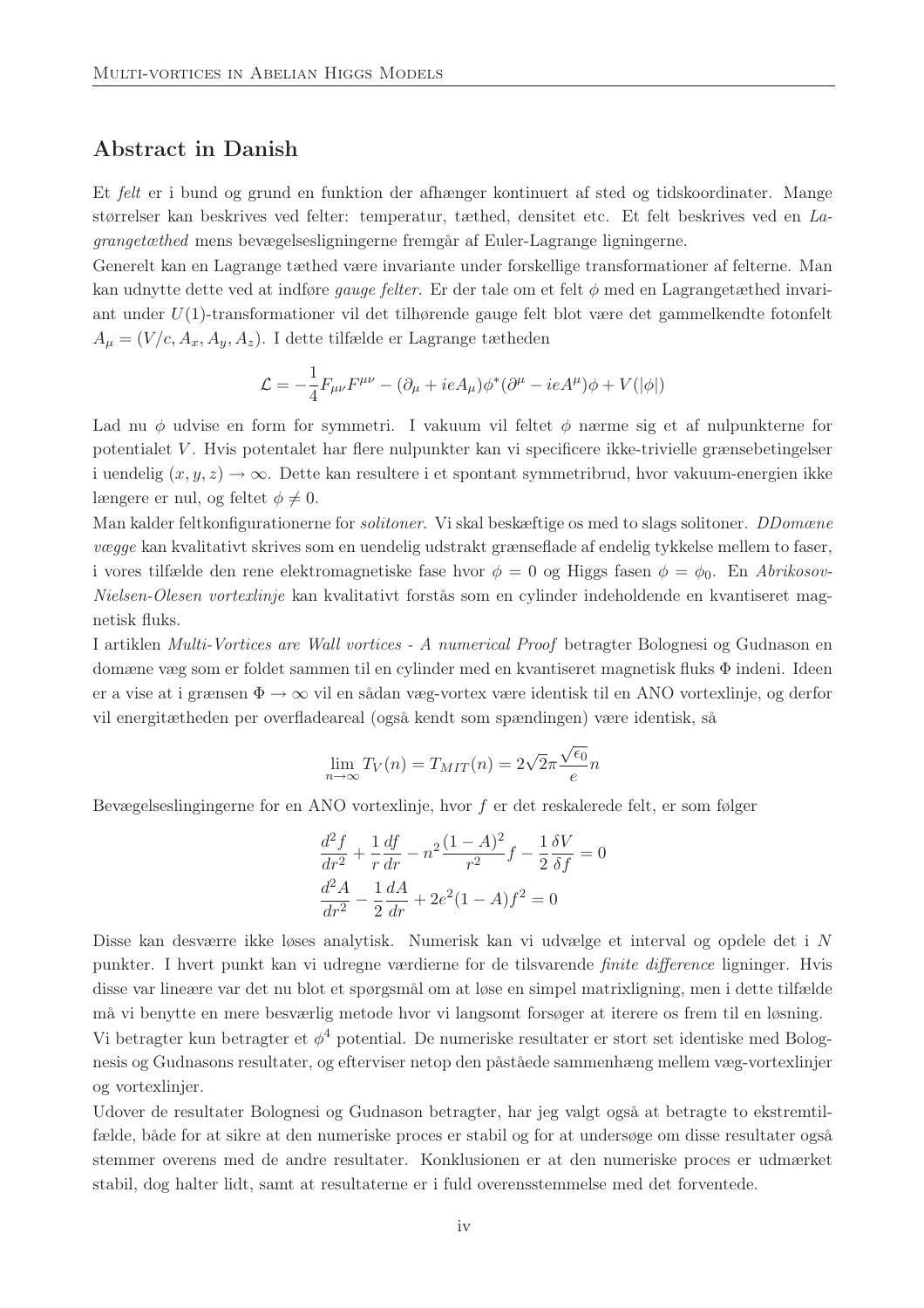### Abstract in Danish

Et felt er i bund og grund en funktion der afhænger kontinuert af sted og tidskoordinater. Mange størrelser kan beskrives ved felter: temperatur, tæthed, densitet etc. Et felt beskrives ved en Lagrangetæthed mens bevægelsesligningerne fremgår af Euler-Lagrange ligningerne.

Generelt kan en Lagrange tæthed være invariante under forskellige transformationer af felterne. Man kan udnytte dette ved at indføre *gauge felter*. Er der tale om et felt  $\phi$  med en Lagrangetæthed invariant under U(1)-transformationer vil det tilhørende gauge felt blot være det gammelkendte fotonfelt  $A_{\mu} = (V/c, A_x, A_y, A_z)$ . I dette tilfælde er Lagrange tætheden

$$
\mathcal{L} = -\frac{1}{4}F_{\mu\nu}F^{\mu\nu} - (\partial_{\mu} + ieA_{\mu})\phi^*(\partial^{\mu} - ieA^{\mu})\phi + V(|\phi|)
$$

Lad nu φ udvise en form for symmetri. I vakuum vil feltet φ nærme sig et af nulpunkterne for potentialet V . Hvis potentalet har flere nulpunkter kan vi specificere ikke-trivielle grænsebetingelser i uendelig  $(x, y, z) \rightarrow \infty$ . Dette kan resultere i et spontant symmetribrud, hvor vakuum-energien ikke længere er nul, og feltet  $\phi \neq 0$ .

Man kalder feltkonfigurationerne for solitoner. Vi skal beskæftige os med to slags solitoner. DDomæne vægge kan kvalitativt skrives som en uendelig udstrakt grænseflade af endelig tykkelse mellem to faser, i vores tilfælde den rene elektromagnetiske fase hvor  $\phi = 0$  og Higgs fasen  $\phi = \phi_0$ . En Abrikosov-Nielsen-Olesen vortexlinje kan kvalitativt forstås som en cylinder indeholdende en kvantiseret magnetisk fluks.

I artiklen Multi-Vortices are Wall vortices - A numerical Proof betragter Bolognesi og Gudnason en domæne væg som er foldet sammen til en cylinder med en kvantiseret magnetisk fluks Φ indeni. Ideen er a vise at i grænsen  $\Phi \to \infty$  vil en sådan væg-vortex være identisk til en ANO vortexlinje, og derfor vil energitætheden per overfladeareal (også kendt som spændingen) være identisk, så

$$
\lim_{n \to \infty} T_V(n) = T_{MIT}(n) = 2\sqrt{2}\pi \frac{\sqrt{\epsilon_0}}{e}n
$$

Bevægelseslingingerne for en ANO vortexlinje, hvor f er det reskalerede felt, er som følger

$$
\frac{d^2f}{dr^2} + \frac{1}{r}\frac{df}{dr} - n^2\frac{(1-A)^2}{r^2}f - \frac{1}{2}\frac{\delta V}{\delta f} = 0
$$
  

$$
\frac{d^2A}{dr^2} - \frac{1}{2}\frac{dA}{dr} + 2e^2(1-A)f^2 = 0
$$

Disse kan desværre ikke løses analytisk. Numerisk kan vi udvælge et interval og opdele det i N punkter. I hvert punkt kan vi udregne værdierne for de tilsvarende finite difference ligninger. Hvis disse var lineære var det nu blot et spørgsmål om at løse en simpel matrixligning, men i dette tilfælde må vi benytte en mere besværlig metode hvor vi langsomt forsøger at iterere os frem til en løsning.

Vi betragter kun betragter et  $\phi^4$  potential. De numeriske resultater er stort set identiske med Bolognesis og Gudnasons resultater, og efterviser netop den påståede sammenhæng mellem væg-vortexlinjer og vortexlinjer.

Udover de resultater Bolognesi og Gudnason betragter, har jeg valgt også at betragte to ekstremtilfælde, både for at sikre at den numeriske proces er stabil og for at undersøge om disse resultater også stemmer overens med de andre resultater. Konklusionen er at den numeriske proces er udmærket stabil, dog halter lidt, samt at resultaterne er i fuld overensstemmelse med det forventede.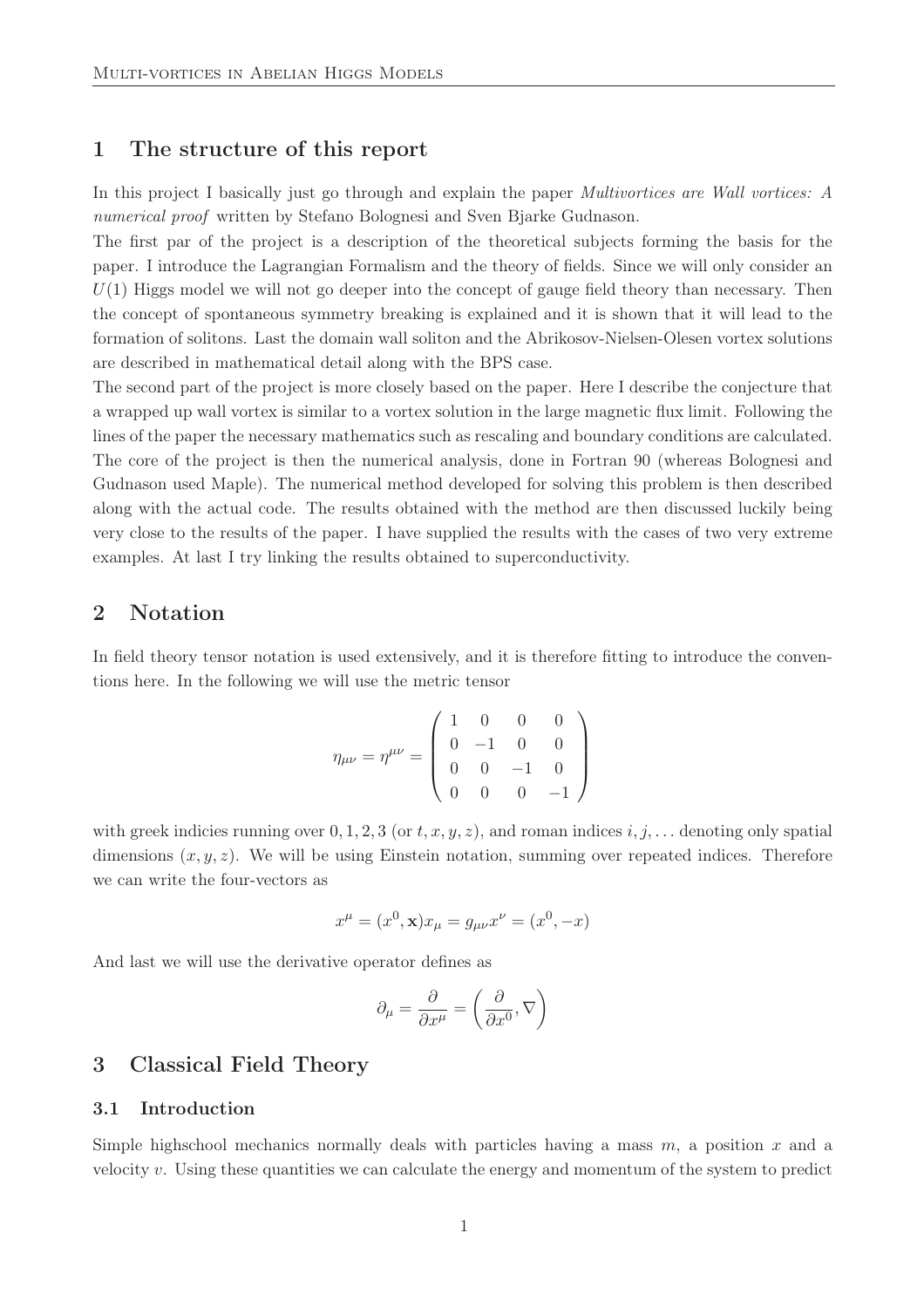### 1 The structure of this report

In this project I basically just go through and explain the paper *Multivortices are Wall vortices:* A numerical proof written by Stefano Bolognesi and Sven Bjarke Gudnason.

The first par of the project is a description of the theoretical subjects forming the basis for the paper. I introduce the Lagrangian Formalism and the theory of fields. Since we will only consider an  $U(1)$  Higgs model we will not go deeper into the concept of gauge field theory than necessary. Then the concept of spontaneous symmetry breaking is explained and it is shown that it will lead to the formation of solitons. Last the domain wall soliton and the Abrikosov-Nielsen-Olesen vortex solutions are described in mathematical detail along with the BPS case.

The second part of the project is more closely based on the paper. Here I describe the conjecture that a wrapped up wall vortex is similar to a vortex solution in the large magnetic flux limit. Following the lines of the paper the necessary mathematics such as rescaling and boundary conditions are calculated. The core of the project is then the numerical analysis, done in Fortran 90 (whereas Bolognesi and Gudnason used Maple). The numerical method developed for solving this problem is then described along with the actual code. The results obtained with the method are then discussed luckily being very close to the results of the paper. I have supplied the results with the cases of two very extreme examples. At last I try linking the results obtained to superconductivity.

### 2 Notation

In field theory tensor notation is used extensively, and it is therefore fitting to introduce the conventions here. In the following we will use the metric tensor

$$
\eta_{\mu\nu} = \eta^{\mu\nu} = \begin{pmatrix} 1 & 0 & 0 & 0 \\ 0 & -1 & 0 & 0 \\ 0 & 0 & -1 & 0 \\ 0 & 0 & 0 & -1 \end{pmatrix}
$$

with greek indicies running over  $0, 1, 2, 3$  (or  $t, x, y, z$ ), and roman indices  $i, j, \ldots$  denoting only spatial dimensions  $(x, y, z)$ . We will be using Einstein notation, summing over repeated indices. Therefore we can write the four-vectors as

$$
x^{\mu} = (x^0, \mathbf{x})x_{\mu} = g_{\mu\nu}x^{\nu} = (x^0, -x)
$$

And last we will use the derivative operator defines as

$$
\partial_{\mu} = \frac{\partial}{\partial x^{\mu}} = \left(\frac{\partial}{\partial x^{0}}, \nabla\right)
$$

### 3 Classical Field Theory

#### 3.1 Introduction

Simple highschool mechanics normally deals with particles having a mass  $m$ , a position  $x$  and a velocity  $v$ . Using these quantities we can calculate the energy and momentum of the system to predict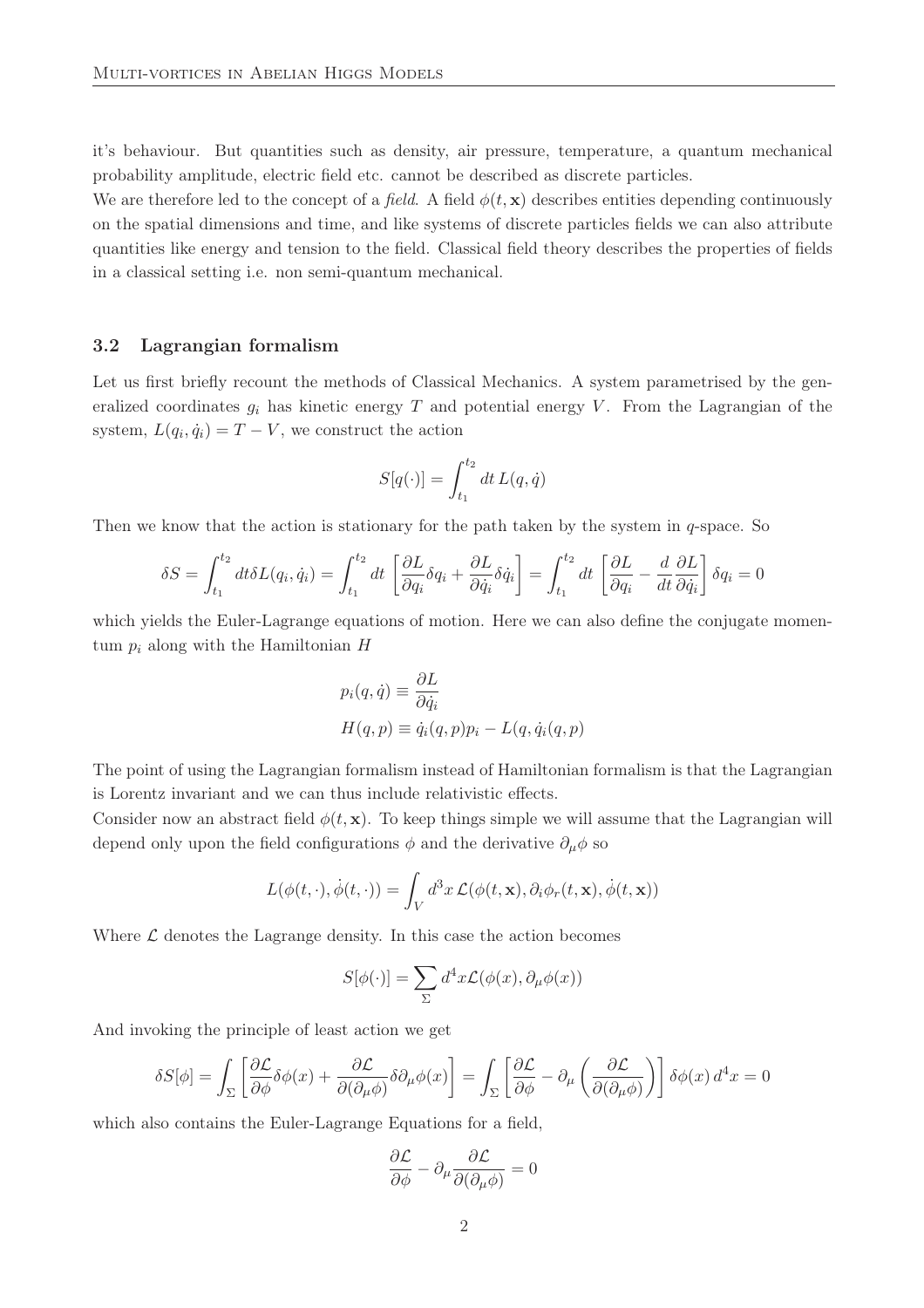it's behaviour. But quantities such as density, air pressure, temperature, a quantum mechanical probability amplitude, electric field etc. cannot be described as discrete particles.

We are therefore led to the concept of a *field.* A field  $\phi(t, \mathbf{x})$  describes entities depending continuously on the spatial dimensions and time, and like systems of discrete particles fields we can also attribute quantities like energy and tension to the field. Classical field theory describes the properties of fields in a classical setting i.e. non semi-quantum mechanical.

### 3.2 Lagrangian formalism

Let us first briefly recount the methods of Classical Mechanics. A system parametrised by the generalized coordinates  $g_i$  has kinetic energy T and potential energy V. From the Lagrangian of the system,  $L(q_i, \dot{q}_i) = T - V$ , we construct the action

$$
S[q(\cdot)] = \int_{t_1}^{t_2} dt L(q, \dot{q})
$$

Then we know that the action is stationary for the path taken by the system in  $q$ -space. So

$$
\delta S = \int_{t_1}^{t_2} dt \delta L(q_i, \dot{q}_i) = \int_{t_1}^{t_2} dt \left[ \frac{\partial L}{\partial q_i} \delta q_i + \frac{\partial L}{\partial \dot{q}_i} \delta \dot{q}_i \right] = \int_{t_1}^{t_2} dt \left[ \frac{\partial L}{\partial q_i} - \frac{d}{dt} \frac{\partial L}{\partial \dot{q}_i} \right] \delta q_i = 0
$$

which yields the Euler-Lagrange equations of motion. Here we can also define the conjugate momentum  $p_i$  along with the Hamiltonian H

$$
p_i(q, \dot{q}) \equiv \frac{\partial L}{\partial \dot{q}_i}
$$
  

$$
H(q, p) \equiv \dot{q}_i(q, p)p_i - L(q, \dot{q}_i(q, p))
$$

The point of using the Lagrangian formalism instead of Hamiltonian formalism is that the Lagrangian is Lorentz invariant and we can thus include relativistic effects.

Consider now an abstract field  $\phi(t, \mathbf{x})$ . To keep things simple we will assume that the Lagrangian will depend only upon the field configurations  $\phi$  and the derivative  $\partial_{\mu}\phi$  so

$$
L(\phi(t,\cdot),\dot{\phi}(t,\cdot)) = \int_V d^3x \mathcal{L}(\phi(t,\mathbf{x}),\partial_i\phi_r(t,\mathbf{x}),\dot{\phi}(t,\mathbf{x}))
$$

Where  $\mathcal L$  denotes the Lagrange density. In this case the action becomes

$$
S[\phi(\cdot)] = \sum_{\Sigma} d^4x \mathcal{L}(\phi(x), \partial_{\mu}\phi(x))
$$

And invoking the principle of least action we get

$$
\delta S[\phi] = \int_{\Sigma} \left[ \frac{\partial \mathcal{L}}{\partial \phi} \delta \phi(x) + \frac{\partial \mathcal{L}}{\partial (\partial_{\mu} \phi)} \delta \partial_{\mu} \phi(x) \right] = \int_{\Sigma} \left[ \frac{\partial \mathcal{L}}{\partial \phi} - \partial_{\mu} \left( \frac{\partial \mathcal{L}}{\partial (\partial_{\mu} \phi)} \right) \right] \delta \phi(x) d^4 x = 0
$$

which also contains the Euler-Lagrange Equations for a field,

$$
\frac{\partial \mathcal{L}}{\partial \phi} - \partial_\mu \frac{\partial \mathcal{L}}{\partial (\partial_\mu \phi)} = 0
$$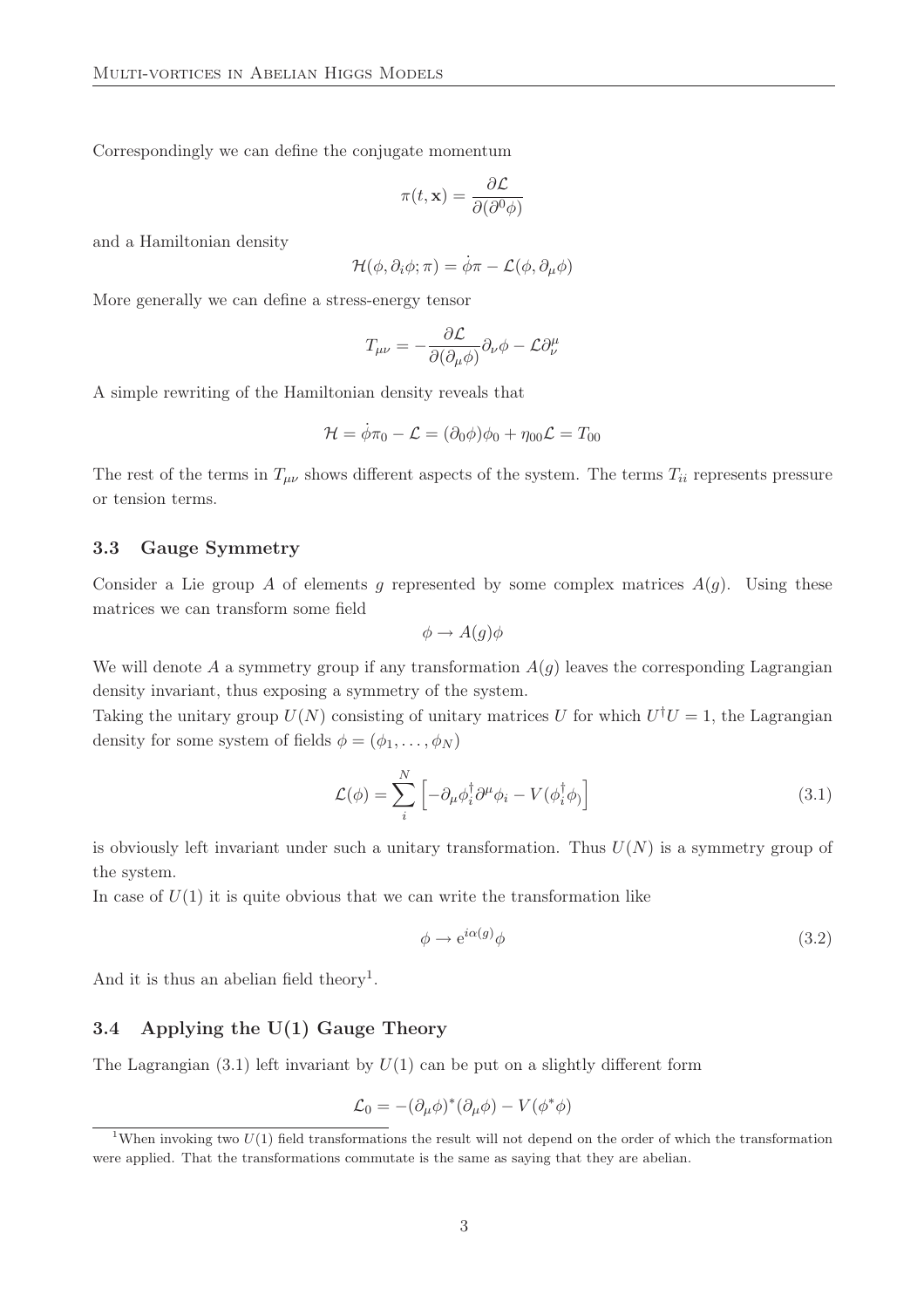Correspondingly we can define the conjugate momentum

$$
\pi(t, \mathbf{x}) = \frac{\partial \mathcal{L}}{\partial(\partial^0 \phi)}
$$

and a Hamiltonian density

$$
\mathcal{H}(\phi,\partial_i\phi;\pi)=\dot{\phi}\pi-\mathcal{L}(\phi,\partial_\mu\phi)
$$

More generally we can define a stress-energy tensor

$$
T_{\mu\nu}=-\frac{\partial \mathcal{L}}{\partial(\partial_{\mu}\phi)}\partial_{\nu}\phi-\mathcal{L}\partial^{\mu}_{\nu}
$$

A simple rewriting of the Hamiltonian density reveals that

$$
\mathcal{H} = \dot{\phi}\pi_0 - \mathcal{L} = (\partial_0\phi)\phi_0 + \eta_{00}\mathcal{L} = T_{00}
$$

The rest of the terms in  $T_{\mu\nu}$  shows different aspects of the system. The terms  $T_{ii}$  represents pressure or tension terms.

#### 3.3 Gauge Symmetry

Consider a Lie group A of elements g represented by some complex matrices  $A(g)$ . Using these matrices we can transform some field

$$
\phi \to A(g)\phi
$$

We will denote A a symmetry group if any transformation  $A(g)$  leaves the corresponding Lagrangian density invariant, thus exposing a symmetry of the system.

Taking the unitary group  $U(N)$  consisting of unitary matrices U for which  $U^{\dagger}U = 1$ , the Lagrangian density for some system of fields  $\phi = (\phi_1, \ldots, \phi_N)$ 

$$
\mathcal{L}(\phi) = \sum_{i}^{N} \left[ -\partial_{\mu} \phi_{i}^{\dagger} \partial^{\mu} \phi_{i} - V(\phi_{i}^{\dagger} \phi) \right]
$$
(3.1)

is obviously left invariant under such a unitary transformation. Thus  $U(N)$  is a symmetry group of the system.

In case of  $U(1)$  it is quite obvious that we can write the transformation like

$$
\phi \to e^{i\alpha(g)}\phi \tag{3.2}
$$

And it is thus an abelian field theory<sup>1</sup>.

### 3.4 Applying the U(1) Gauge Theory

The Lagrangian  $(3.1)$  left invariant by  $U(1)$  can be put on a slightly different form

$$
\mathcal{L}_0 = -(\partial_\mu \phi)^* (\partial_\mu \phi) - V(\phi^* \phi)
$$

<sup>&</sup>lt;sup>1</sup>When invoking two  $U(1)$  field transformations the result will not depend on the order of which the transformation were applied. That the transformations commutate is the same as saying that they are abelian.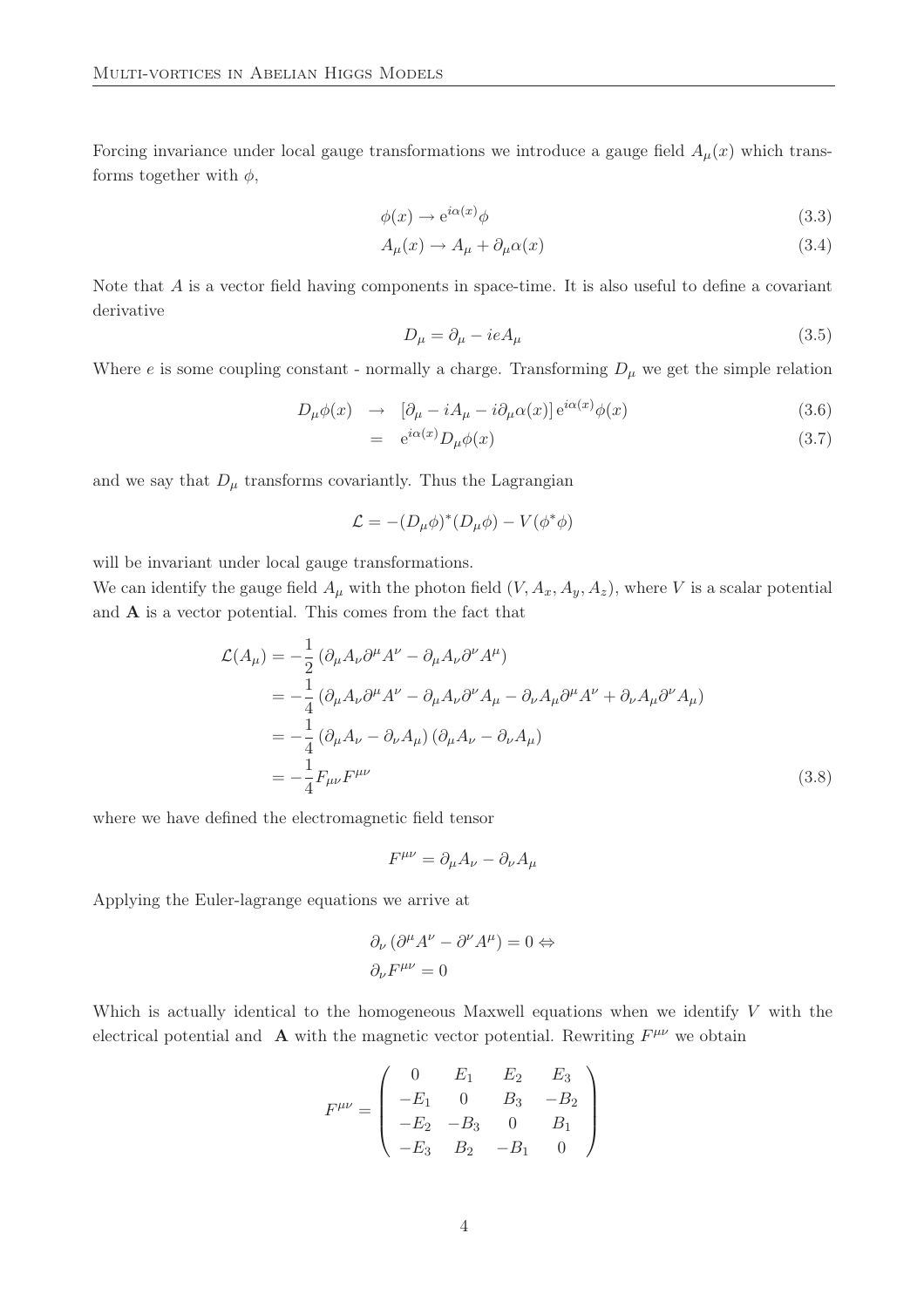Forcing invariance under local gauge transformations we introduce a gauge field  $A<sub>u</sub>(x)$  which transforms together with  $\phi$ ,

$$
\phi(x) \to e^{i\alpha(x)}\phi \tag{3.3}
$$

$$
A_{\mu}(x) \to A_{\mu} + \partial_{\mu}\alpha(x) \tag{3.4}
$$

Note that A is a vector field having components in space-time. It is also useful to define a covariant derivative

$$
D_{\mu} = \partial_{\mu} - ieA_{\mu} \tag{3.5}
$$

Where e is some coupling constant - normally a charge. Transforming  $D_{\mu}$  we get the simple relation

$$
D_{\mu}\phi(x) \rightarrow [\partial_{\mu} - iA_{\mu} - i\partial_{\mu}\alpha(x)]e^{i\alpha(x)}\phi(x) \qquad (3.6)
$$

$$
= e^{i\alpha(x)} D_{\mu}\phi(x) \tag{3.7}
$$

and we say that  $D_{\mu}$  transforms covariantly. Thus the Lagrangian

$$
\mathcal{L} = -(D_{\mu}\phi)^{*}(D_{\mu}\phi) - V(\phi^{*}\phi)
$$

will be invariant under local gauge transformations.

We can identify the gauge field  $A_\mu$  with the photon field  $(V, A_x, A_y, A_z)$ , where V is a scalar potential and A is a vector potential. This comes from the fact that

$$
\mathcal{L}(A_{\mu}) = -\frac{1}{2} \left( \partial_{\mu} A_{\nu} \partial^{\mu} A^{\nu} - \partial_{\mu} A_{\nu} \partial^{\nu} A^{\mu} \right)
$$
  
\n
$$
= -\frac{1}{4} \left( \partial_{\mu} A_{\nu} \partial^{\mu} A^{\nu} - \partial_{\mu} A_{\nu} \partial^{\nu} A_{\mu} - \partial_{\nu} A_{\mu} \partial^{\mu} A^{\nu} + \partial_{\nu} A_{\mu} \partial^{\nu} A_{\mu} \right)
$$
  
\n
$$
= -\frac{1}{4} \left( \partial_{\mu} A_{\nu} - \partial_{\nu} A_{\mu} \right) \left( \partial_{\mu} A_{\nu} - \partial_{\nu} A_{\mu} \right)
$$
  
\n
$$
= -\frac{1}{4} F_{\mu\nu} F^{\mu\nu}
$$
\n(3.8)

where we have defined the electromagnetic field tensor

$$
F^{\mu\nu} = \partial_{\mu}A_{\nu} - \partial_{\nu}A_{\mu}
$$

Applying the Euler-lagrange equations we arrive at

$$
\partial_{\nu} (\partial^{\mu} A^{\nu} - \partial^{\nu} A^{\mu}) = 0 \Leftrightarrow
$$
  

$$
\partial_{\nu} F^{\mu\nu} = 0
$$

Which is actually identical to the homogeneous Maxwell equations when we identify  $V$  with the electrical potential and **A** with the magnetic vector potential. Rewriting  $F^{\mu\nu}$  we obtain

$$
F^{\mu\nu} = \begin{pmatrix} 0 & E_1 & E_2 & E_3 \\ -E_1 & 0 & B_3 & -B_2 \\ -E_2 & -B_3 & 0 & B_1 \\ -E_3 & B_2 & -B_1 & 0 \end{pmatrix}
$$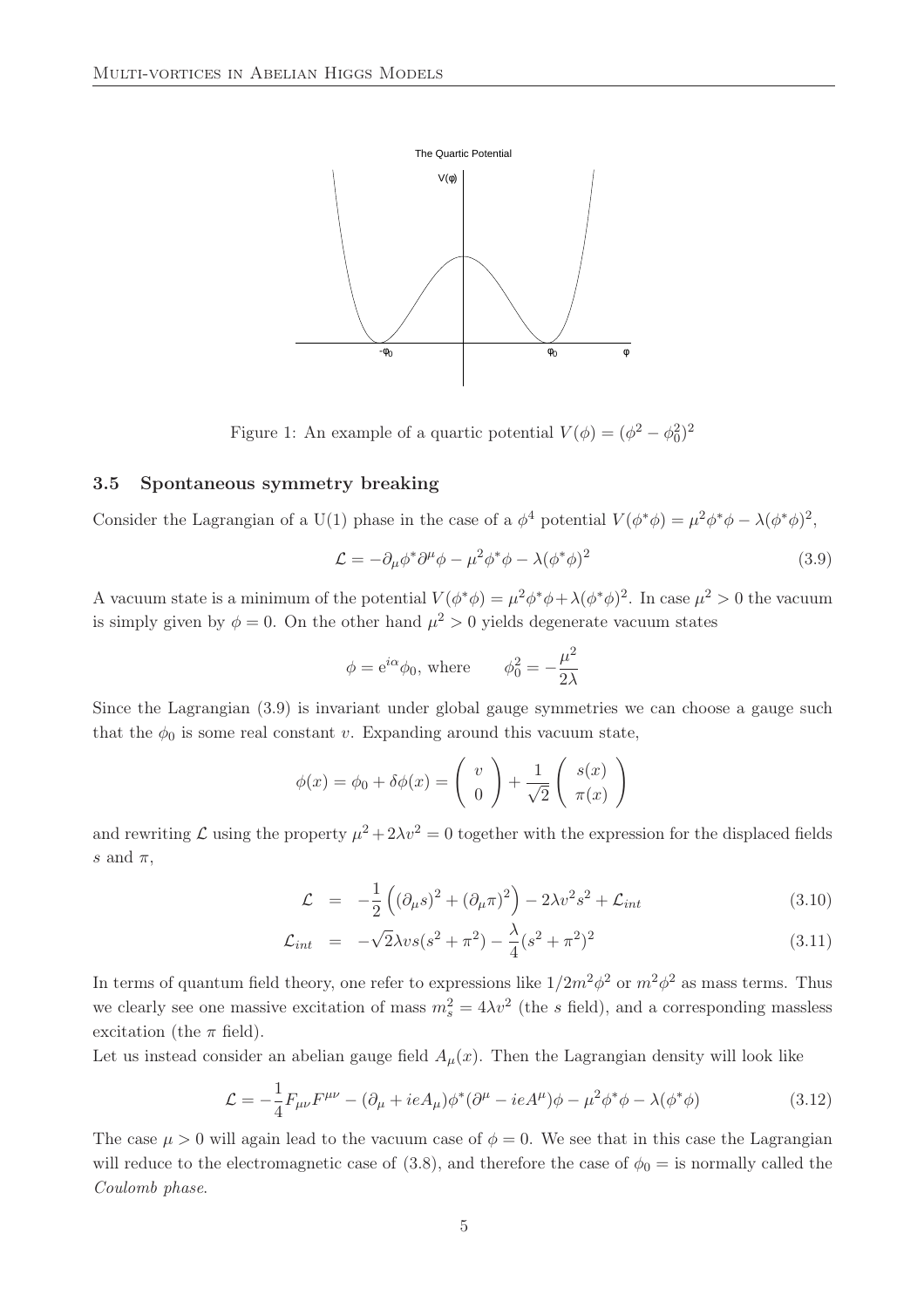

Figure 1: An example of a quartic potential  $V(\phi) = (\phi^2 - \phi_0^2)^2$ 

### 3.5 Spontaneous symmetry breaking

Consider the Lagrangian of a U(1) phase in the case of a  $\phi^4$  potential  $V(\phi^*\phi) = \mu^2 \phi^* \phi - \lambda (\phi^* \phi)^2$ ,

$$
\mathcal{L} = -\partial_{\mu}\phi^*\partial^{\mu}\phi - \mu^2\phi^*\phi - \lambda(\phi^*\phi)^2
$$
\n(3.9)

A vacuum state is a minimum of the potential  $V(\phi^*\phi) = \mu^2 \phi^* \phi + \lambda (\phi^* \phi)^2$ . In case  $\mu^2 > 0$  the vacuum is simply given by  $\phi = 0$ . On the other hand  $\mu^2 > 0$  yields degenerate vacuum states

$$
\phi = e^{i\alpha}\phi_0
$$
, where  $\phi_0^2 = -\frac{\mu^2}{2\lambda}$ 

Since the Lagrangian (3.9) is invariant under global gauge symmetries we can choose a gauge such that the  $\phi_0$  is some real constant v. Expanding around this vacuum state,

$$
\phi(x) = \phi_0 + \delta\phi(x) = \begin{pmatrix} v \\ 0 \end{pmatrix} + \frac{1}{\sqrt{2}} \begin{pmatrix} s(x) \\ \pi(x) \end{pmatrix}
$$

and rewriting  $\mathcal L$  using the property  $\mu^2 + 2\lambda v^2 = 0$  together with the expression for the displaced fields s and  $\pi$ ,

$$
\mathcal{L} = -\frac{1}{2} \left( (\partial_{\mu} s)^2 + (\partial_{\mu} \pi)^2 \right) - 2\lambda v^2 s^2 + \mathcal{L}_{int}
$$
\n(3.10)

$$
\mathcal{L}_{int} = -\sqrt{2\lambda} v s (s^2 + \pi^2) - \frac{\lambda}{4} (s^2 + \pi^2)^2 \tag{3.11}
$$

In terms of quantum field theory, one refer to expressions like  $1/2m^2\phi^2$  or  $m^2\phi^2$  as mass terms. Thus we clearly see one massive excitation of mass  $m_s^2 = 4\lambda v^2$  (the s field), and a corresponding massless excitation (the  $\pi$  field).

Let us instead consider an abelian gauge field  $A_\mu(x)$ . Then the Lagrangian density will look like

$$
\mathcal{L} = -\frac{1}{4}F_{\mu\nu}F^{\mu\nu} - (\partial_{\mu} + ieA_{\mu})\phi^*(\partial^{\mu} - ieA^{\mu})\phi - \mu^2\phi^*\phi - \lambda(\phi^*\phi)
$$
(3.12)

The case  $\mu > 0$  will again lead to the vacuum case of  $\phi = 0$ . We see that in this case the Lagrangian will reduce to the electromagnetic case of (3.8), and therefore the case of  $\phi_0 =$  is normally called the Coulomb phase.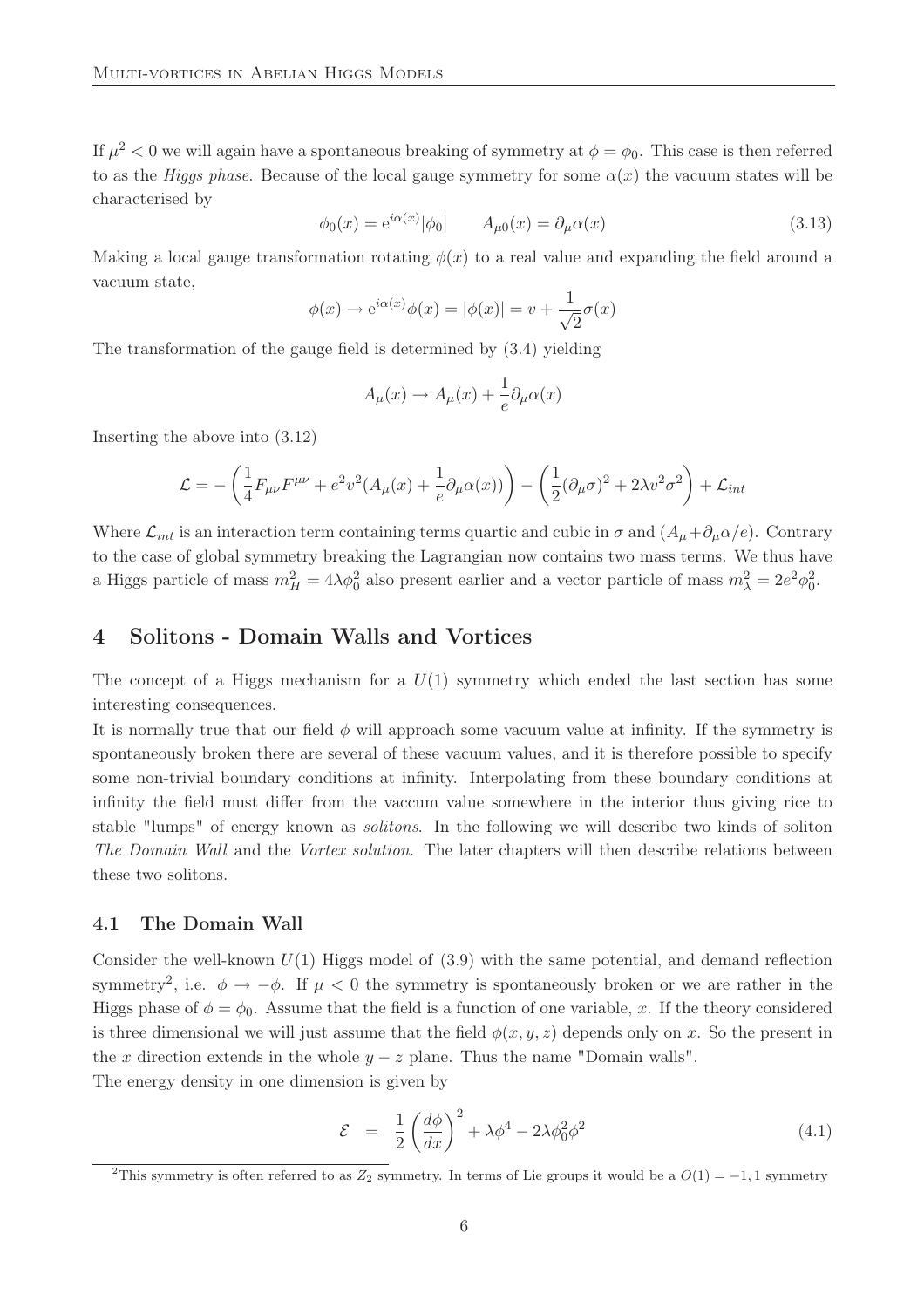If  $\mu^2 < 0$  we will again have a spontaneous breaking of symmetry at  $\phi = \phi_0$ . This case is then referred to as the Higgs phase. Because of the local gauge symmetry for some  $\alpha(x)$  the vacuum states will be characterised by

$$
\phi_0(x) = e^{i\alpha(x)} |\phi_0| \qquad A_{\mu 0}(x) = \partial_{\mu} \alpha(x) \tag{3.13}
$$

Making a local gauge transformation rotating  $\phi(x)$  to a real value and expanding the field around a vacuum state,

$$
\phi(x) \to e^{i\alpha(x)} \phi(x) = |\phi(x)| = v + \frac{1}{\sqrt{2}} \sigma(x)
$$

The transformation of the gauge field is determined by (3.4) yielding

$$
A_{\mu}(x) \to A_{\mu}(x) + \frac{1}{e} \partial_{\mu} \alpha(x)
$$

Inserting the above into (3.12)

$$
\mathcal{L} = -\left(\frac{1}{4}F_{\mu\nu}F^{\mu\nu} + e^2v^2(A_\mu(x) + \frac{1}{e}\partial_\mu\alpha(x))\right) - \left(\frac{1}{2}(\partial_\mu\sigma)^2 + 2\lambda v^2\sigma^2\right) + \mathcal{L}_{int}
$$

Where  $\mathcal{L}_{int}$  is an interaction term containing terms quartic and cubic in  $\sigma$  and  $(A_{\mu}+\partial_{\mu}\alpha/e)$ . Contrary to the case of global symmetry breaking the Lagrangian now contains two mass terms. We thus have a Higgs particle of mass  $m_H^2 = 4\lambda\phi_0^2$  also present earlier and a vector particle of mass  $m_\lambda^2 = 2e^2\phi_0^2$ .

### 4 Solitons - Domain Walls and Vortices

The concept of a Higgs mechanism for a  $U(1)$  symmetry which ended the last section has some interesting consequences.

It is normally true that our field  $\phi$  will approach some vacuum value at infinity. If the symmetry is spontaneously broken there are several of these vacuum values, and it is therefore possible to specify some non-trivial boundary conditions at infinity. Interpolating from these boundary conditions at infinity the field must differ from the vaccum value somewhere in the interior thus giving rice to stable "lumps" of energy known as solitons. In the following we will describe two kinds of soliton The Domain Wall and the Vortex solution. The later chapters will then describe relations between these two solitons.

#### 4.1 The Domain Wall

Consider the well-known  $U(1)$  Higgs model of  $(3.9)$  with the same potential, and demand reflection symmetry<sup>2</sup>, i.e.  $\phi \to -\phi$ . If  $\mu < 0$  the symmetry is spontaneously broken or we are rather in the Higgs phase of  $\phi = \phi_0$ . Assume that the field is a function of one variable, x. If the theory considered is three dimensional we will just assume that the field  $\phi(x, y, z)$  depends only on x. So the present in the x direction extends in the whole  $y - z$  plane. Thus the name "Domain walls".

The energy density in one dimension is given by

$$
\mathcal{E} = \frac{1}{2} \left( \frac{d\phi}{dx} \right)^2 + \lambda \phi^4 - 2\lambda \phi_0^2 \phi^2 \tag{4.1}
$$

<sup>&</sup>lt;sup>2</sup>This symmetry is often referred to as Z<sub>2</sub> symmetry. In terms of Lie groups it would be a  $O(1) = -1, 1$  symmetry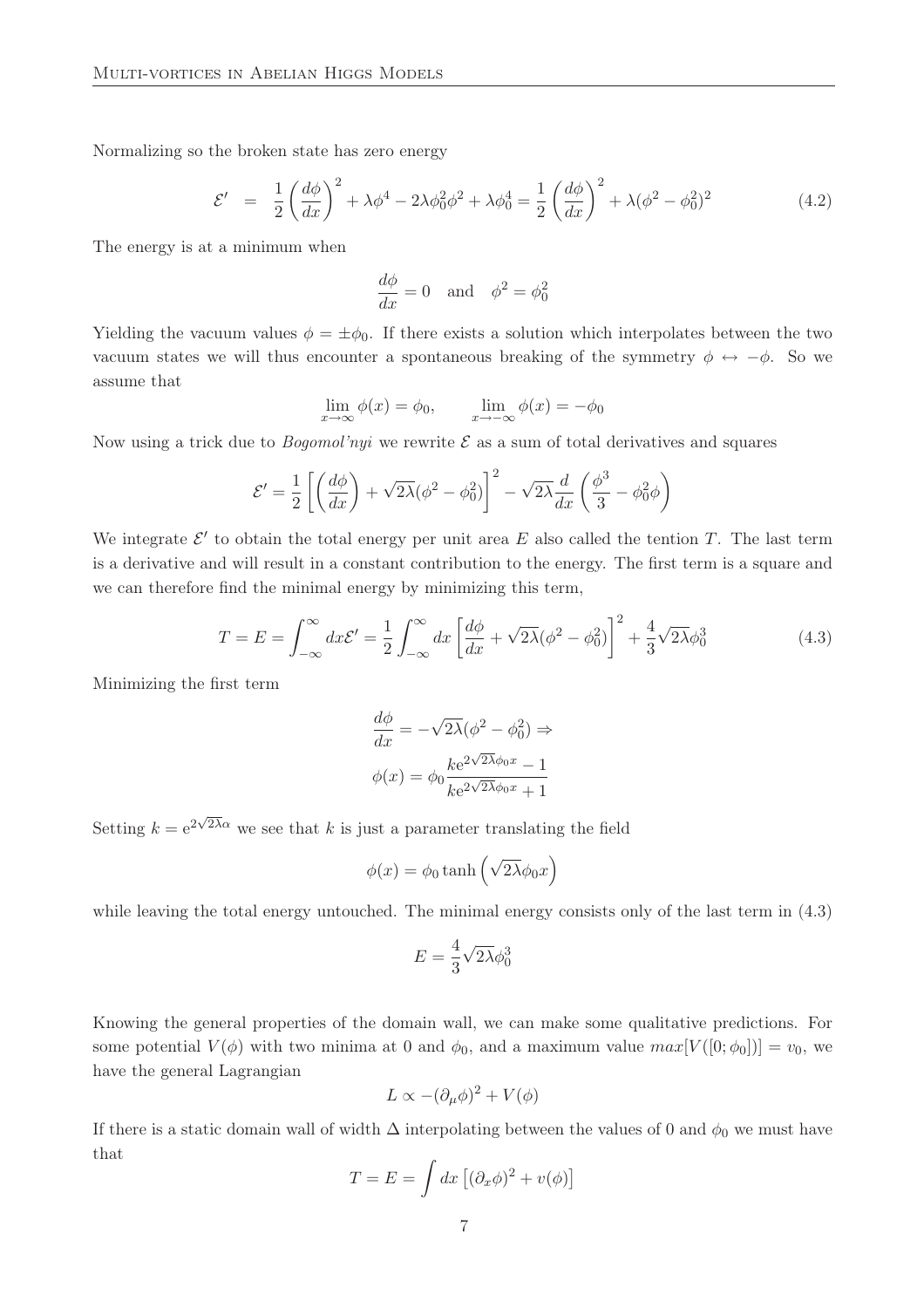Normalizing so the broken state has zero energy

$$
\mathcal{E}' = \frac{1}{2} \left( \frac{d\phi}{dx} \right)^2 + \lambda \phi^4 - 2\lambda \phi_0^2 \phi^2 + \lambda \phi_0^4 = \frac{1}{2} \left( \frac{d\phi}{dx} \right)^2 + \lambda (\phi^2 - \phi_0^2)^2 \tag{4.2}
$$

The energy is at a minimum when

$$
\frac{d\phi}{dx} = 0 \quad \text{and} \quad \phi^2 = \phi_0^2
$$

Yielding the vacuum values  $\phi = \pm \phi_0$ . If there exists a solution which interpolates between the two vacuum states we will thus encounter a spontaneous breaking of the symmetry  $\phi \leftrightarrow -\phi$ . So we assume that

$$
\lim_{x \to \infty} \phi(x) = \phi_0, \qquad \lim_{x \to -\infty} \phi(x) = -\phi_0
$$

Now using a trick due to *Bogomol'nyi* we rewrite  $\mathcal E$  as a sum of total derivatives and squares

$$
\mathcal{E}' = \frac{1}{2} \left[ \left( \frac{d\phi}{dx} \right) + \sqrt{2\lambda} (\phi^2 - \phi_0^2) \right]^2 - \sqrt{2\lambda} \frac{d}{dx} \left( \frac{\phi^3}{3} - \phi_0^2 \phi \right)
$$

We integrate  $\mathcal{E}'$  to obtain the total energy per unit area E also called the tention T. The last term is a derivative and will result in a constant contribution to the energy. The first term is a square and we can therefore find the minimal energy by minimizing this term,

$$
T = E = \int_{-\infty}^{\infty} dx \mathcal{E}' = \frac{1}{2} \int_{-\infty}^{\infty} dx \left[ \frac{d\phi}{dx} + \sqrt{2\lambda} (\phi^2 - \phi_0^2) \right]^2 + \frac{4}{3} \sqrt{2\lambda} \phi_0^3 \tag{4.3}
$$

Minimizing the first term

$$
\frac{d\phi}{dx} = -\sqrt{2\lambda}(\phi^2 - \phi_0^2) \Rightarrow
$$

$$
\phi(x) = \phi_0 \frac{k e^{2\sqrt{2\lambda}\phi_0 x} - 1}{k e^{2\sqrt{2\lambda}\phi_0 x} + 1}
$$

Setting  $k = e^{2\sqrt{2\lambda}\alpha}$  we see that k is just a parameter translating the field

$$
\phi(x) = \phi_0 \tanh\left(\sqrt{2\lambda}\phi_0 x\right)
$$

while leaving the total energy untouched. The minimal energy consists only of the last term in  $(4.3)$ 

$$
E = \frac{4}{3}\sqrt{2\lambda}\phi_0^3
$$

Knowing the general properties of the domain wall, we can make some qualitative predictions. For some potential  $V(\phi)$  with two minima at 0 and  $\phi_0$ , and a maximum value  $max[V([0;\phi_0])] = v_0$ , we have the general Lagrangian

$$
L \propto -(\partial_{\mu}\phi)^{2} + V(\phi)
$$

If there is a static domain wall of width  $\Delta$  interpolating between the values of 0 and  $\phi_0$  we must have that

$$
T = E = \int dx \left[ (\partial_x \phi)^2 + v(\phi) \right]
$$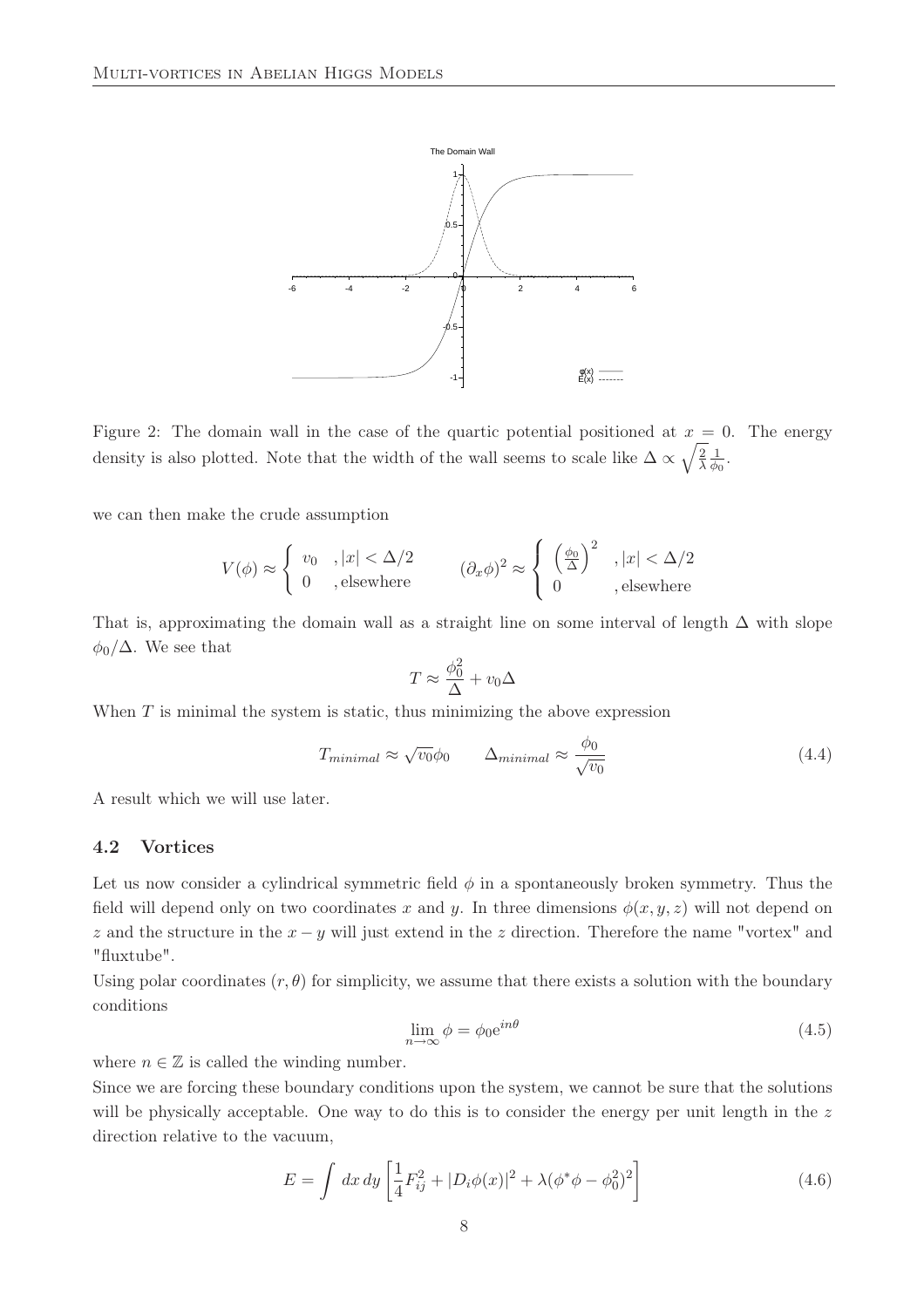

Figure 2: The domain wall in the case of the quartic potential positioned at  $x = 0$ . The energy density is also plotted. Note that the width of the wall seems to scale like  $\Delta \propto \sqrt{\frac{2}{\lambda}}$ λ 1  $\frac{1}{\phi_0}$ .

we can then make the crude assumption

$$
V(\phi) \approx \begin{cases} v_0, |x| < \Delta/2 \\ 0, \text{elsewhere} \end{cases} \qquad (\partial_x \phi)^2 \approx \begin{cases} \left(\frac{\phi_0}{\Delta}\right)^2, |x| < \Delta/2 \\ 0, \text{elsewhere} \end{cases}
$$

That is, approximating the domain wall as a straight line on some interval of length  $\Delta$  with slope  $\phi_0/\Delta$ . We see that

$$
T \approx \frac{\phi_0^2}{\Delta} + v_0 \Delta
$$

When  $T$  is minimal the system is static, thus minimizing the above expression

$$
T_{minimal} \approx \sqrt{v_0} \phi_0 \qquad \Delta_{minimal} \approx \frac{\phi_0}{\sqrt{v_0}} \tag{4.4}
$$

A result which we will use later.

#### 4.2 Vortices

Let us now consider a cylindrical symmetric field  $\phi$  in a spontaneously broken symmetry. Thus the field will depend only on two coordinates x and y. In three dimensions  $\phi(x, y, z)$  will not depend on z and the structure in the  $x - y$  will just extend in the z direction. Therefore the name "vortex" and "fluxtube".

Using polar coordinates  $(r, \theta)$  for simplicity, we assume that there exists a solution with the boundary conditions

$$
\lim_{n \to \infty} \phi = \phi_0 e^{in\theta} \tag{4.5}
$$

where  $n \in \mathbb{Z}$  is called the winding number.

Since we are forcing these boundary conditions upon the system, we cannot be sure that the solutions will be physically acceptable. One way to do this is to consider the energy per unit length in the z direction relative to the vacuum,

$$
E = \int dx \, dy \left[ \frac{1}{4} F_{ij}^2 + |D_i \phi(x)|^2 + \lambda (\phi^* \phi - \phi_0^2)^2 \right]
$$
 (4.6)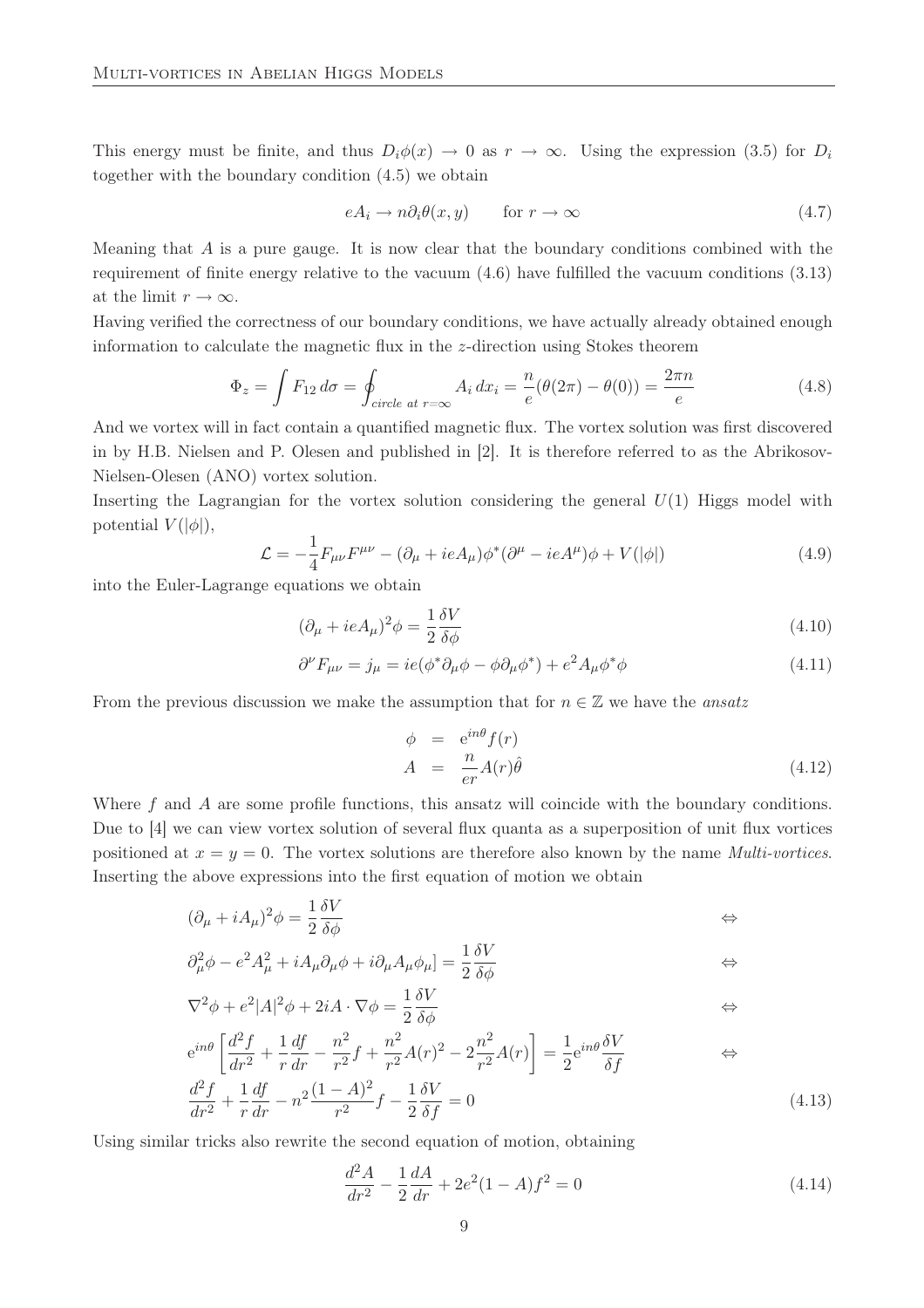This energy must be finite, and thus  $D_i\phi(x) \to 0$  as  $r \to \infty$ . Using the expression (3.5) for  $D_i$ together with the boundary condition (4.5) we obtain

$$
eA_i \to n\partial_i \theta(x, y) \qquad \text{for } r \to \infty \tag{4.7}
$$

Meaning that  $A$  is a pure gauge. It is now clear that the boundary conditions combined with the requirement of finite energy relative to the vacuum (4.6) have fulfilled the vacuum conditions (3.13) at the limit  $r \to \infty$ .

Having verified the correctness of our boundary conditions, we have actually already obtained enough information to calculate the magnetic flux in the z-direction using Stokes theorem

$$
\Phi_z = \int F_{12} d\sigma = \oint_{circle \ at \ r = \infty} A_i dx_i = \frac{n}{e} (\theta (2\pi) - \theta (0)) = \frac{2\pi n}{e}
$$
\n(4.8)

And we vortex will in fact contain a quantified magnetic flux. The vortex solution was first discovered in by H.B. Nielsen and P. Olesen and published in [2]. It is therefore referred to as the Abrikosov-Nielsen-Olesen (ANO) vortex solution.

Inserting the Lagrangian for the vortex solution considering the general  $U(1)$  Higgs model with potential  $V(|\phi|)$ ,

$$
\mathcal{L} = -\frac{1}{4}F_{\mu\nu}F^{\mu\nu} - (\partial_{\mu} + ieA_{\mu})\phi^*(\partial^{\mu} - ieA^{\mu})\phi + V(|\phi|)
$$
(4.9)

into the Euler-Lagrange equations we obtain

$$
(\partial_{\mu} + ieA_{\mu})^2 \phi = \frac{1}{2} \frac{\delta V}{\delta \phi}
$$
\n(4.10)

$$
\partial^{\nu} F_{\mu\nu} = j_{\mu} = ie(\phi^* \partial_{\mu} \phi - \phi \partial_{\mu} \phi^*) + e^2 A_{\mu} \phi^* \phi \tag{4.11}
$$

From the previous discussion we make the assumption that for  $n \in \mathbb{Z}$  we have the ansatz

$$
\begin{array}{rcl}\n\phi & = & e^{in\theta} f(r) \\
A & = & \frac{n}{er} A(r)\hat{\theta}\n\end{array} \tag{4.12}
$$

Where f and A are some profile functions, this ansatz will coincide with the boundary conditions. Due to [4] we can view vortex solution of several flux quanta as a superposition of unit flux vortices positioned at  $x = y = 0$ . The vortex solutions are therefore also known by the name *Multi-vortices*. Inserting the above expressions into the first equation of motion we obtain

$$
(\partial_{\mu} + iA_{\mu})^2 \phi = \frac{1}{2} \frac{\delta V}{\delta \phi} \qquad \Longleftrightarrow \qquad
$$

$$
\partial_{\mu}^{2} \phi - e^{2} A_{\mu}^{2} + i A_{\mu} \partial_{\mu} \phi + i \partial_{\mu} A_{\mu} \phi_{\mu} ] = \frac{1}{2} \frac{\delta V}{\delta \phi}
$$

$$
\nabla^2 \phi + e^2 |A|^2 \phi + 2iA \cdot \nabla \phi = \frac{1}{2} \frac{\delta V}{\delta \phi}
$$

$$
e^{in\theta} \left[ \frac{d^2 f}{dr^2} + \frac{1}{r} \frac{df}{dr} - \frac{n^2}{r^2} f + \frac{n^2}{r^2} A(r)^2 - 2\frac{n^2}{r^2} A(r) \right] = \frac{1}{2} e^{in\theta} \frac{\delta V}{\delta f}
$$
  

$$
\frac{d^2 f}{dr^2} + \frac{1}{r} \frac{df}{dr} - n^2 \frac{(1-A)^2}{r^2} f - \frac{1}{2} \frac{\delta V}{\delta f} = 0
$$
(4.13)

Using similar tricks also rewrite the second equation of motion, obtaining

$$
\frac{d^2A}{dr^2} - \frac{1}{2}\frac{dA}{dr} + 2e^2(1-A)f^2 = 0\tag{4.14}
$$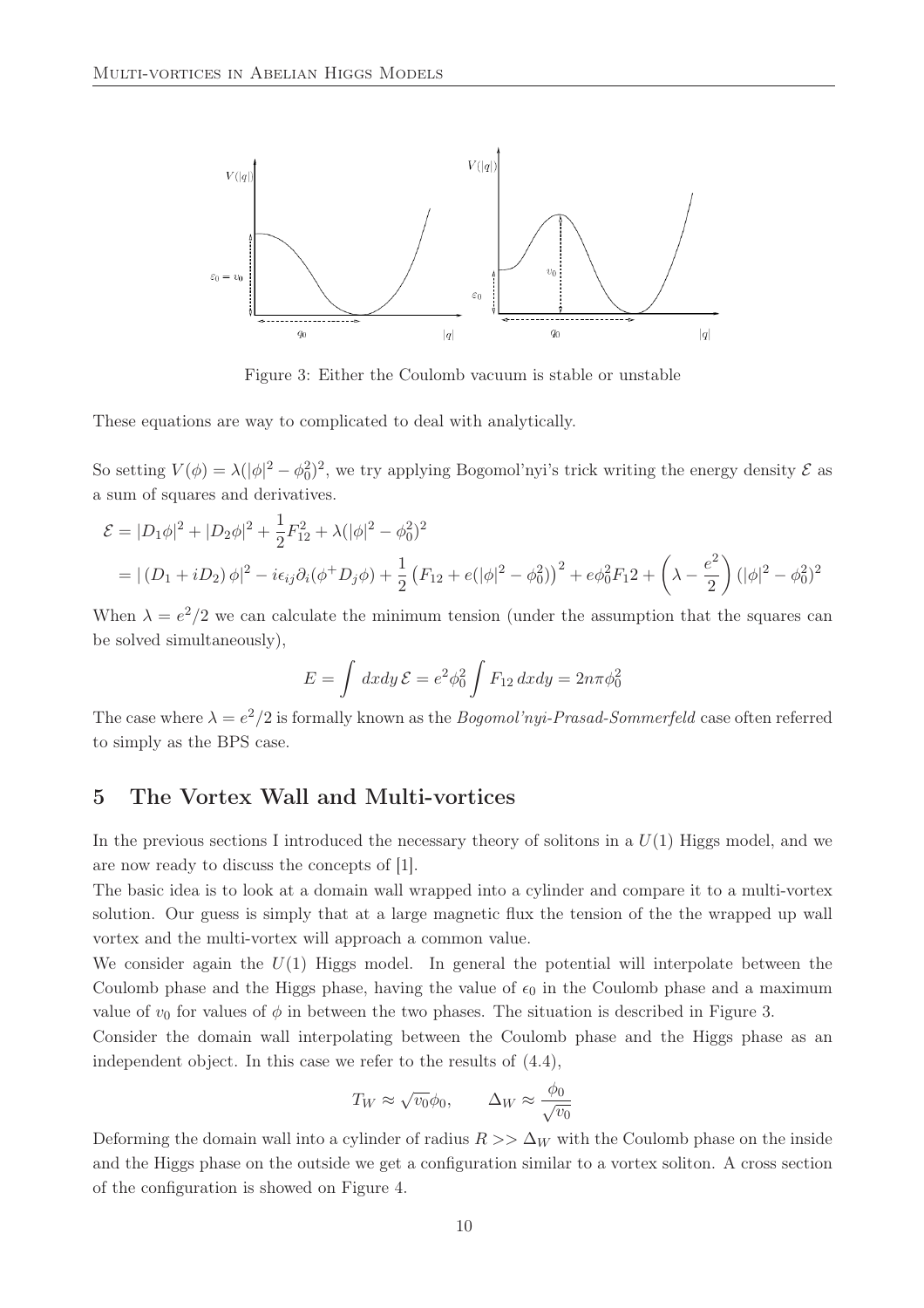

Figure 3: Either the Coulomb vacuum is stable or unstable

These equations are way to complicated to deal with analytically.

So setting  $V(\phi) = \lambda (|\phi|^2 - \phi_0^2)^2$ , we try applying Bogomol'nyi's trick writing the energy density  $\mathcal{E}$  as a sum of squares and derivatives.

$$
\mathcal{E} = |D_1\phi|^2 + |D_2\phi|^2 + \frac{1}{2}F_{12}^2 + \lambda(|\phi|^2 - \phi_0^2)^2
$$
  
=  $|(D_1 + iD_2)\phi|^2 - i\epsilon_{ij}\partial_i(\phi^+ D_j\phi) + \frac{1}{2}(F_{12} + e(|\phi|^2 - \phi_0^2))^2 + e\phi_0^2 F_1 2 + \left(\lambda - \frac{e^2}{2}\right)(|\phi|^2 - \phi_0^2)^2$ 

When  $\lambda = e^2/2$  we can calculate the minimum tension (under the assumption that the squares can be solved simultaneously),

$$
E = \int dx dy \mathcal{E} = e^2 \phi_0^2 \int F_{12} dx dy = 2n\pi \phi_0^2
$$

The case where  $\lambda = e^2/2$  is formally known as the *Bogomol'nyi-Prasad-Sommerfeld* case often referred to simply as the BPS case.

### 5 The Vortex Wall and Multi-vortices

In the previous sections I introduced the necessary theory of solitons in a  $U(1)$  Higgs model, and we are now ready to discuss the concepts of [1].

The basic idea is to look at a domain wall wrapped into a cylinder and compare it to a multi-vortex solution. Our guess is simply that at a large magnetic flux the tension of the the wrapped up wall vortex and the multi-vortex will approach a common value.

We consider again the  $U(1)$  Higgs model. In general the potential will interpolate between the Coulomb phase and the Higgs phase, having the value of  $\epsilon_0$  in the Coulomb phase and a maximum value of  $v_0$  for values of  $\phi$  in between the two phases. The situation is described in Figure 3.

Consider the domain wall interpolating between the Coulomb phase and the Higgs phase as an independent object. In this case we refer to the results of (4.4),

$$
T_W \approx \sqrt{v_0} \phi_0, \qquad \Delta_W \approx \frac{\phi_0}{\sqrt{v_0}}
$$

Deforming the domain wall into a cylinder of radius  $R >> \Delta_W$  with the Coulomb phase on the inside and the Higgs phase on the outside we get a configuration similar to a vortex soliton. A cross section of the configuration is showed on Figure 4.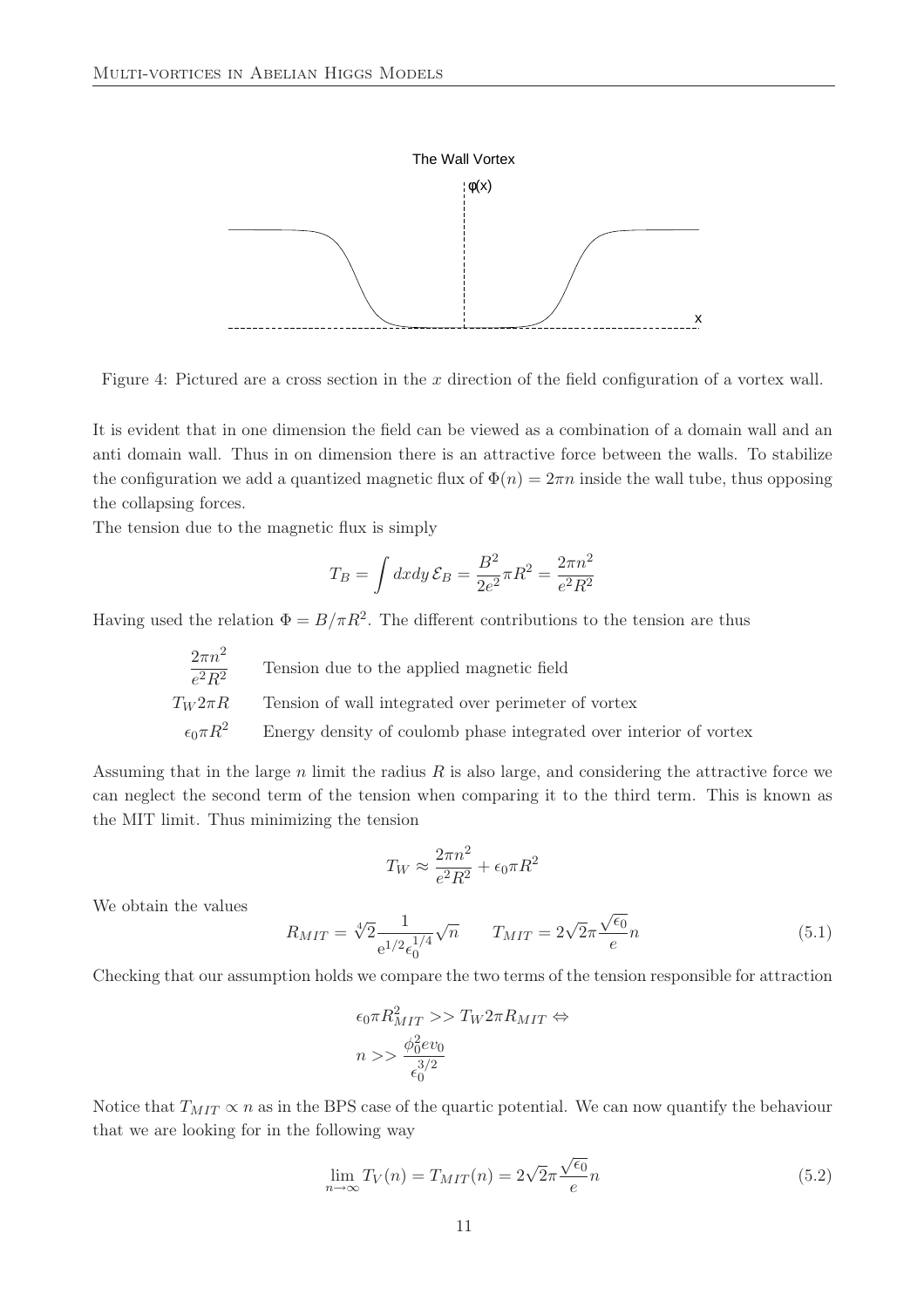

Figure 4: Pictured are a cross section in the  $x$  direction of the field configuration of a vortex wall.

It is evident that in one dimension the field can be viewed as a combination of a domain wall and an anti domain wall. Thus in on dimension there is an attractive force between the walls. To stabilize the configuration we add a quantized magnetic flux of  $\Phi(n) = 2\pi n$  inside the wall tube, thus opposing the collapsing forces.

The tension due to the magnetic flux is simply

$$
T_B = \int dx dy \, \mathcal{E}_B = \frac{B^2}{2e^2} \pi R^2 = \frac{2\pi n^2}{e^2 R^2}
$$

Having used the relation  $\Phi = B/\pi R^2$ . The different contributions to the tension are thus

| $2\pi n^2$<br>$\overline{e^2R^2}$ | Tension due to the applied magnetic field                          |
|-----------------------------------|--------------------------------------------------------------------|
| $T_W 2\pi R$                      | Tension of wall integrated over perimeter of vortex                |
| $\epsilon_0 \pi R^2$              | Energy density of coulomb phase integrated over interior of vortex |

Assuming that in the large  $n$  limit the radius  $R$  is also large, and considering the attractive force we can neglect the second term of the tension when comparing it to the third term. This is known as the MIT limit. Thus minimizing the tension

$$
T_W \approx \frac{2\pi n^2}{e^2 R^2} + \epsilon_0 \pi R^2
$$

We obtain the values

$$
R_{MIT} = \sqrt[4]{2} \frac{1}{e^{1/2} \epsilon_0^{1/4}} \sqrt{n} \qquad T_{MIT} = 2\sqrt{2}\pi \frac{\sqrt{\epsilon_0}}{e} n \tag{5.1}
$$

Checking that our assumption holds we compare the two terms of the tension responsible for attraction

$$
\epsilon_0 \pi R_{MIT}^2 >> T_W 2 \pi R_{MIT} \Leftrightarrow
$$
  

$$
n >> \frac{\phi_0^2 e v_0}{\frac{3}{2}}
$$

Notice that  $T_{MIT} \propto n$  as in the BPS case of the quartic potential. We can now quantify the behaviour that we are looking for in the following way

$$
\lim_{n \to \infty} T_V(n) = T_{MIT}(n) = 2\sqrt{2\pi} \frac{\sqrt{\epsilon_0}}{e} n \tag{5.2}
$$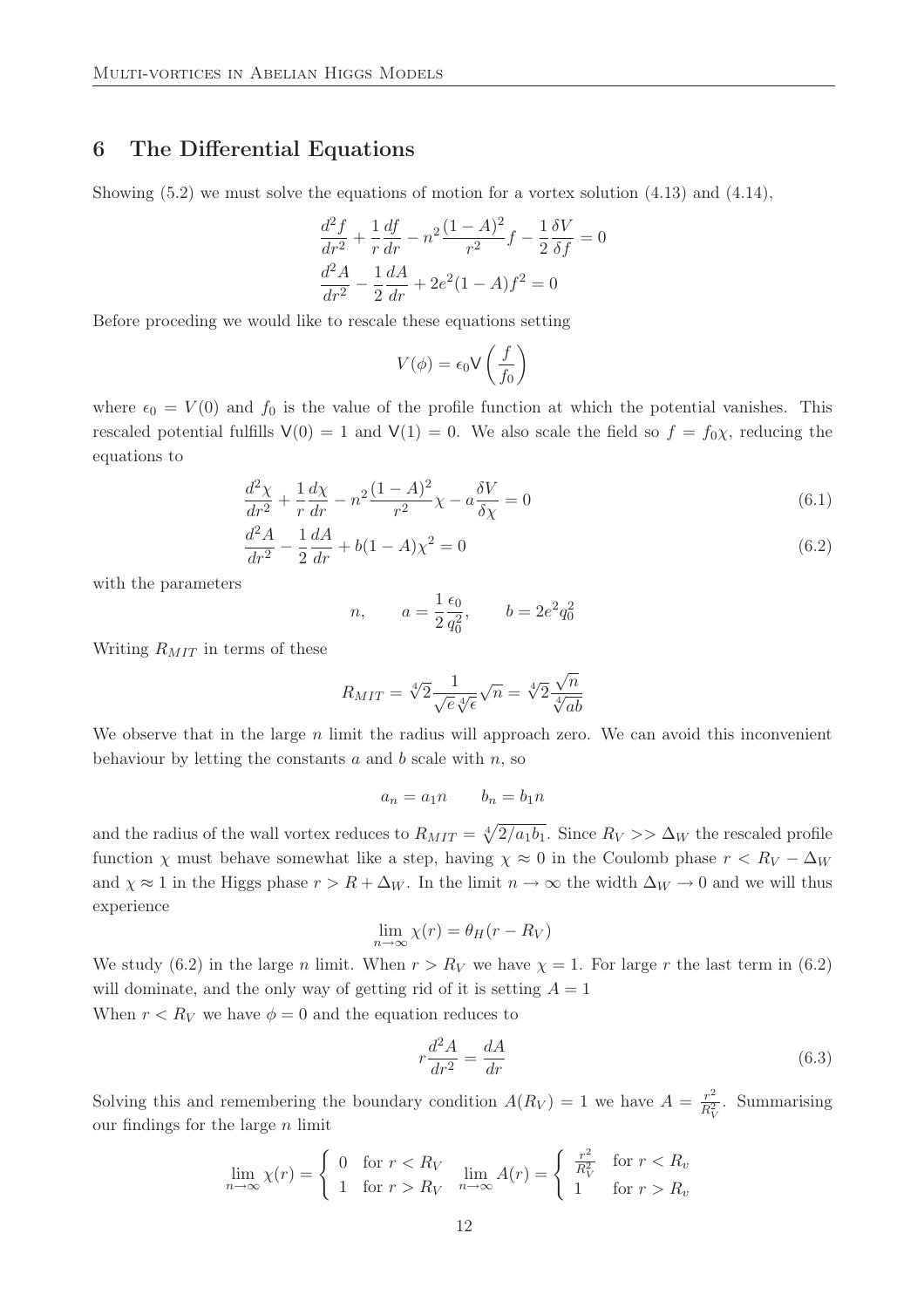### 6 The Differential Equations

Showing (5.2) we must solve the equations of motion for a vortex solution (4.13) and (4.14),

$$
\frac{d^2f}{dr^2} + \frac{1}{r}\frac{df}{dr} - n^2\frac{(1-A)^2}{r^2}f - \frac{1}{2}\frac{\delta V}{\delta f} = 0
$$
  

$$
\frac{d^2A}{dr^2} - \frac{1}{2}\frac{dA}{dr} + 2e^2(1-A)f^2 = 0
$$

Before proceding we would like to rescale these equations setting

$$
V(\phi) = \epsilon_0 \mathsf{V}\left(\frac{f}{f_0}\right)
$$

where  $\epsilon_0 = V(0)$  and  $f_0$  is the value of the profile function at which the potential vanishes. This rescaled potential fulfills  $V(0) = 1$  and  $V(1) = 0$ . We also scale the field so  $f = f_0 \chi$ , reducing the equations to

$$
\frac{d^2\chi}{dr^2} + \frac{1}{r}\frac{d\chi}{dr} - n^2\frac{(1-A)^2}{r^2}\chi - a\frac{\delta V}{\delta \chi} = 0
$$
\n(6.1)

$$
\frac{d^2A}{dr^2} - \frac{1}{2}\frac{dA}{dr} + b(1-A)\chi^2 = 0\tag{6.2}
$$

with the parameters

$$
n, \qquad a = \frac{1}{2} \frac{\epsilon_0}{q_0^2}, \qquad b = 2e^2 q_0^2
$$

Writing  $R_{MIT}$  in terms of these

$$
R_{MIT} = \sqrt[4]{2} \frac{1}{\sqrt{e}\sqrt[4]{\epsilon}} \sqrt{n} = \sqrt[4]{2} \frac{\sqrt{n}}{\sqrt[4]{ab}}
$$

We observe that in the large  $n$  limit the radius will approach zero. We can avoid this inconvenient behaviour by letting the constants  $a$  and  $b$  scale with  $n$ , so

$$
a_n = a_1 n \qquad b_n = b_1 n
$$

and the radius of the wall vortex reduces to  $R_{MIT} = \sqrt[4]{2/a_1b_1}$ . Since  $R_V >> \Delta_W$  the rescaled profile function  $\chi$  must behave somewhat like a step, having  $\chi \approx 0$  in the Coulomb phase  $r < R_V - \Delta_W$ and  $\chi \approx 1$  in the Higgs phase  $r > R + \Delta_W$ . In the limit  $n \to \infty$  the width  $\Delta_W \to 0$  and we will thus experience

$$
\lim_{n \to \infty} \chi(r) = \theta_H(r - R_V)
$$

We study (6.2) in the large *n* limit. When  $r > R_V$  we have  $\chi = 1$ . For large *r* the last term in (6.2) will dominate, and the only way of getting rid of it is setting  $A = 1$ 

When  $r < R_V$  we have  $\phi = 0$  and the equation reduces to

$$
r\frac{d^2A}{dr^2} = \frac{dA}{dr} \tag{6.3}
$$

Solving this and remembering the boundary condition  $A(R_V) = 1$  we have  $A = \frac{r^2}{R^2}$  $rac{r^2}{R_V^2}$ . Summarising our findings for the large  $n$  limit

$$
\lim_{n \to \infty} \chi(r) = \begin{cases} 0 & \text{for } r < R_V \\ 1 & \text{for } r > R_V \end{cases} \quad \lim_{n \to \infty} A(r) = \begin{cases} \frac{r^2}{R_V^2} & \text{for } r < R_v \\ 1 & \text{for } r > R_v \end{cases}
$$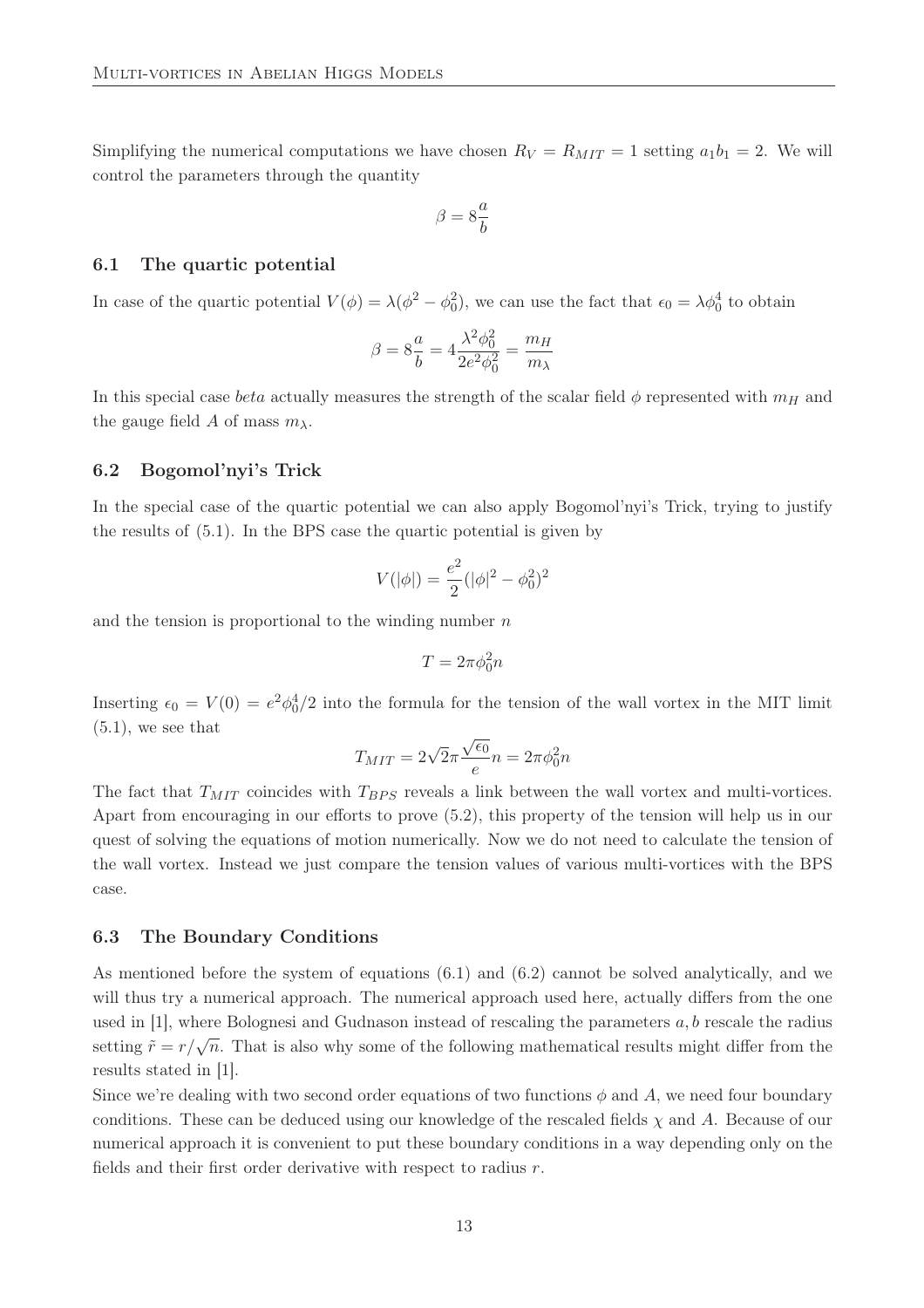Simplifying the numerical computations we have chosen  $R_V = R_{MIT} = 1$  setting  $a_1b_1 = 2$ . We will control the parameters through the quantity

$$
\beta=8\frac{a}{b}
$$

#### 6.1 The quartic potential

In case of the quartic potential  $V(\phi) = \lambda(\phi^2 - \phi_0^2)$ , we can use the fact that  $\epsilon_0 = \lambda \phi_0^4$  to obtain

$$
\beta = 8\frac{a}{b} = 4\frac{\lambda^2\phi_0^2}{2e^2\phi_0^2} = \frac{m_H}{m_\lambda}
$$

In this special case *beta* actually measures the strength of the scalar field  $\phi$  represented with  $m_H$  and the gauge field A of mass  $m_{\lambda}$ .

#### 6.2 Bogomol'nyi's Trick

In the special case of the quartic potential we can also apply Bogomol'nyi's Trick, trying to justify the results of (5.1). In the BPS case the quartic potential is given by

$$
V(|\phi|) = \frac{e^2}{2}(|\phi|^2 - \phi_0^2)^2
$$

and the tension is proportional to the winding number  $n$ 

$$
T = 2\pi \phi_0^2 n
$$

Inserting  $\epsilon_0 = V(0) = e^2 \phi_0^4/2$  into the formula for the tension of the wall vortex in the MIT limit  $(5.1)$ , we see that

$$
T_{MIT}=2\sqrt{2}\pi\frac{\sqrt{\epsilon_0}}{e}n=2\pi\phi_0^2n
$$

The fact that  $T_{MIT}$  coincides with  $T_{BPS}$  reveals a link between the wall vortex and multi-vortices. Apart from encouraging in our efforts to prove (5.2), this property of the tension will help us in our quest of solving the equations of motion numerically. Now we do not need to calculate the tension of the wall vortex. Instead we just compare the tension values of various multi-vortices with the BPS case.

#### 6.3 The Boundary Conditions

As mentioned before the system of equations (6.1) and (6.2) cannot be solved analytically, and we will thus try a numerical approach. The numerical approach used here, actually differs from the one used in  $[1]$ , where Bolognesi and Gudnason instead of rescaling the parameters  $a, b$  rescale the radius setting  $\tilde{r} = r/\sqrt{n}$ . That is also why some of the following mathematical results might differ from the results stated in [1].

Since we're dealing with two second order equations of two functions  $\phi$  and A, we need four boundary conditions. These can be deduced using our knowledge of the rescaled fields  $\chi$  and A. Because of our numerical approach it is convenient to put these boundary conditions in a way depending only on the fields and their first order derivative with respect to radius r.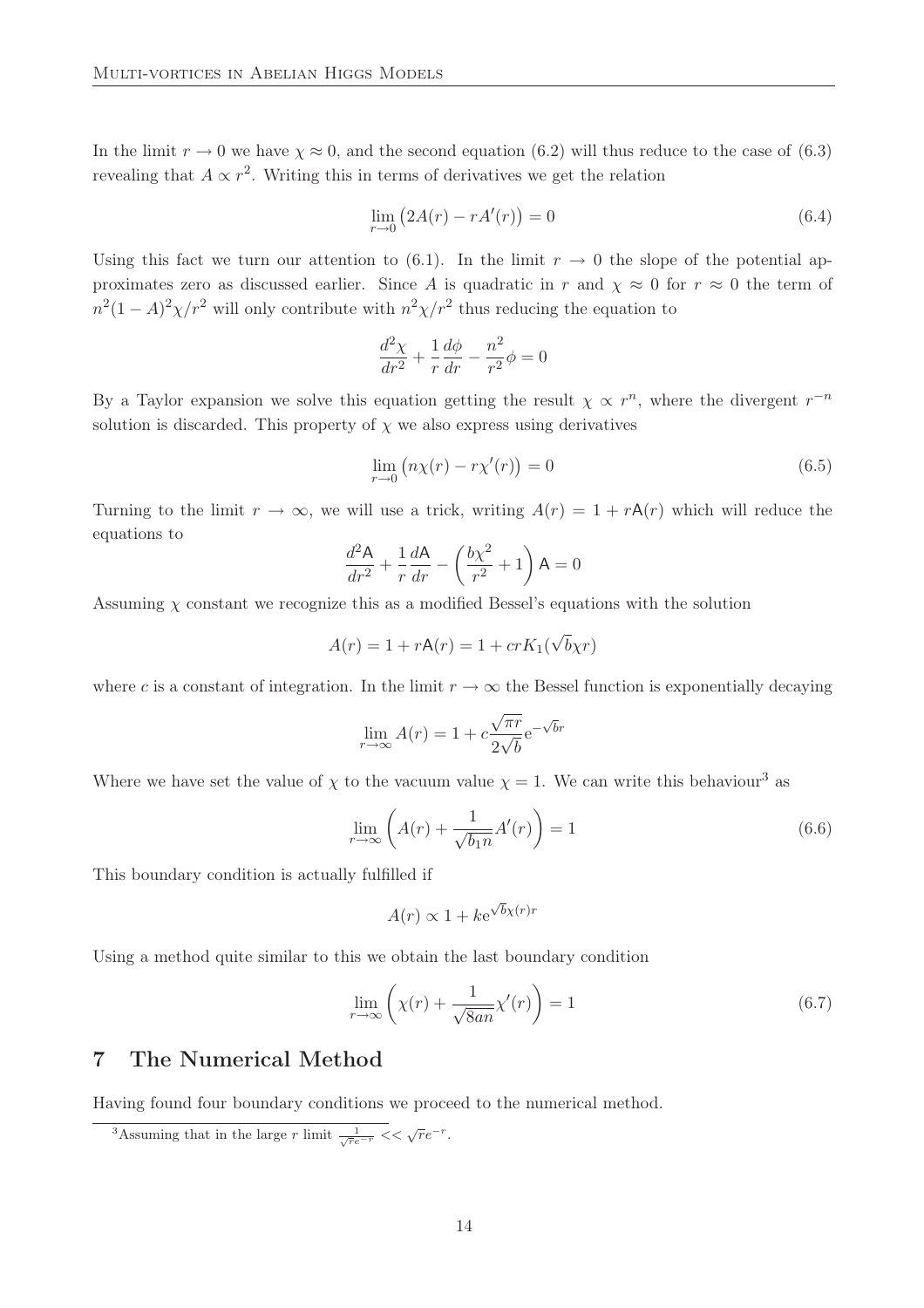In the limit  $r \to 0$  we have  $\chi \approx 0$ , and the second equation (6.2) will thus reduce to the case of (6.3) revealing that  $A \propto r^2$ . Writing this in terms of derivatives we get the relation

$$
\lim_{r \to 0} \left( 2A(r) - rA'(r) \right) = 0 \tag{6.4}
$$

Using this fact we turn our attention to (6.1). In the limit  $r \to 0$  the slope of the potential approximates zero as discussed earlier. Since A is quadratic in r and  $\chi \approx 0$  for  $r \approx 0$  the term of  $n^2(1-A)^2\chi/r^2$  will only contribute with  $n^2\chi/r^2$  thus reducing the equation to

$$
\frac{d^2\chi}{dr^2} + \frac{1}{r}\frac{d\phi}{dr} - \frac{n^2}{r^2}\phi = 0
$$

By a Taylor expansion we solve this equation getting the result  $\chi \propto r^n$ , where the divergent  $r^{-n}$ solution is discarded. This property of  $\chi$  we also express using derivatives

$$
\lim_{r \to 0} \left( n\chi(r) - r\chi'(r) \right) = 0 \tag{6.5}
$$

Turning to the limit  $r \to \infty$ , we will use a trick, writing  $A(r) = 1 + rA(r)$  which will reduce the equations to

$$
\frac{d^2\mathsf{A}}{dr^2} + \frac{1}{r}\frac{d\mathsf{A}}{dr} - \left(\frac{b\chi^2}{r^2} + 1\right)\mathsf{A} = 0
$$

Assuming  $\chi$  constant we recognize this as a modified Bessel's equations with the solution

$$
A(r) = 1 + rA(r) = 1 + crK_1(\sqrt{b}\chi r)
$$

where c is a constant of integration. In the limit  $r \to \infty$  the Bessel function is exponentially decaying

$$
\lim_{r \to \infty} A(r) = 1 + c \frac{\sqrt{\pi r}}{2\sqrt{b}} e^{-\sqrt{b}r}
$$

Where we have set the value of  $\chi$  to the vacuum value  $\chi = 1$ . We can write this behaviour<sup>3</sup> as

$$
\lim_{r \to \infty} \left( A(r) + \frac{1}{\sqrt{b_1 n}} A'(r) \right) = 1 \tag{6.6}
$$

This boundary condition is actually fulfilled if

$$
A(r) \propto 1 + k e^{\sqrt{b}\chi(r)r}
$$

Using a method quite similar to this we obtain the last boundary condition

$$
\lim_{r \to \infty} \left( \chi(r) + \frac{1}{\sqrt{8an}} \chi'(r) \right) = 1 \tag{6.7}
$$

### 7 The Numerical Method

Having found four boundary conditions we proceed to the numerical method.

<sup>&</sup>lt;sup>3</sup>Assuming that in the large r limit  $\frac{1}{\sqrt{r}e^{-r}} << \sqrt{r}e^{-r}$ .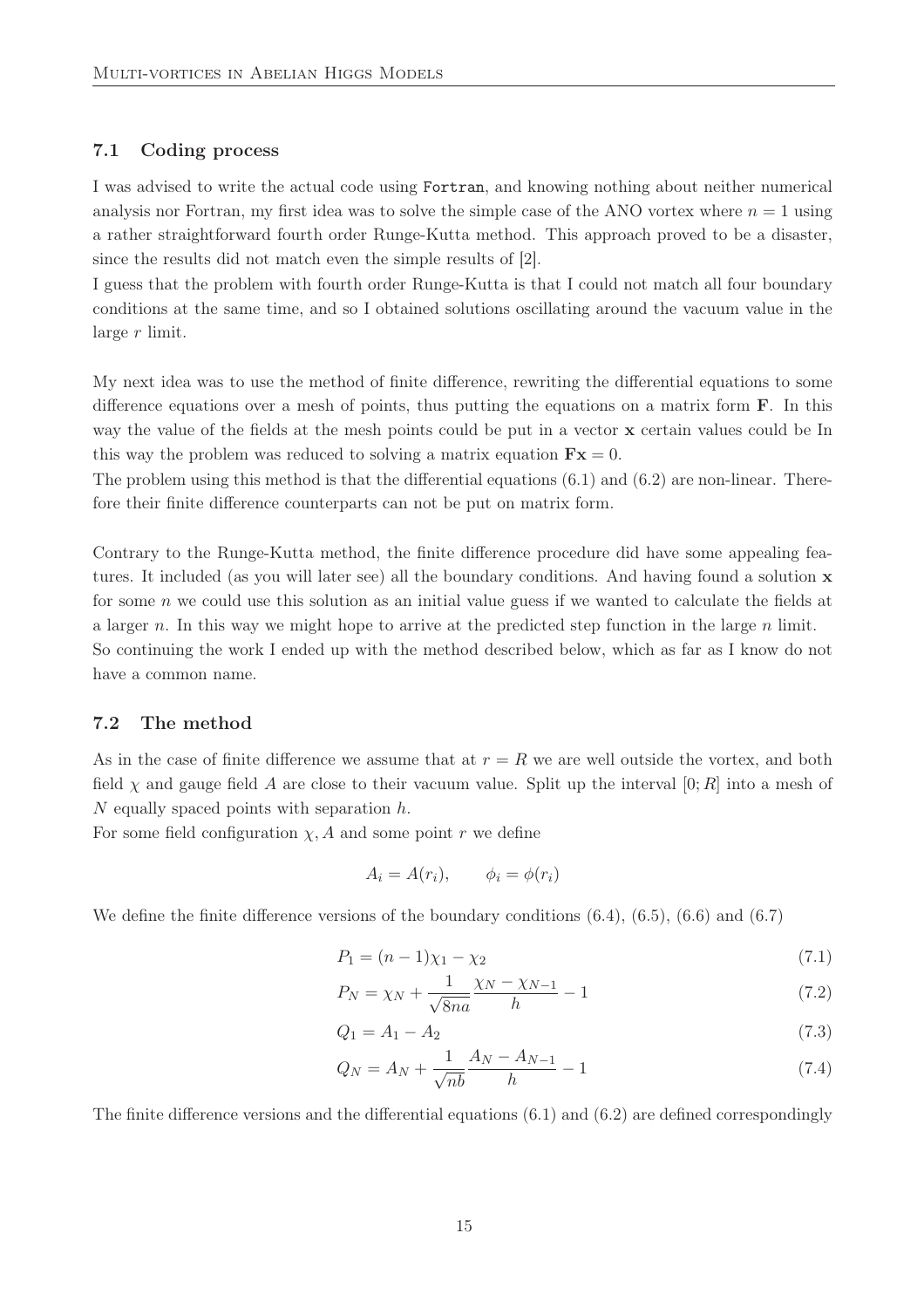### 7.1 Coding process

I was advised to write the actual code using Fortran, and knowing nothing about neither numerical analysis nor Fortran, my first idea was to solve the simple case of the ANO vortex where  $n = 1$  using a rather straightforward fourth order Runge-Kutta method. This approach proved to be a disaster, since the results did not match even the simple results of [2].

I guess that the problem with fourth order Runge-Kutta is that I could not match all four boundary conditions at the same time, and so I obtained solutions oscillating around the vacuum value in the large r limit.

My next idea was to use the method of finite difference, rewriting the differential equations to some difference equations over a mesh of points, thus putting the equations on a matrix form  $\bf{F}$ . In this way the value of the fields at the mesh points could be put in a vector x certain values could be In this way the problem was reduced to solving a matrix equation  $\mathbf{F} \mathbf{x} = 0$ .

The problem using this method is that the differential equations  $(6.1)$  and  $(6.2)$  are non-linear. Therefore their finite difference counterparts can not be put on matrix form.

Contrary to the Runge-Kutta method, the finite difference procedure did have some appealing features. It included (as you will later see) all the boundary conditions. And having found a solution x for some n we could use this solution as an initial value guess if we wanted to calculate the fields at a larger n. In this way we might hope to arrive at the predicted step function in the large  $n$  limit. So continuing the work I ended up with the method described below, which as far as I know do not

have a common name.

### 7.2 The method

As in the case of finite difference we assume that at  $r = R$  we are well outside the vortex, and both field  $\chi$  and gauge field A are close to their vacuum value. Split up the interval  $[0;R]$  into a mesh of  $N$  equally spaced points with separation  $h$ .

For some field configuration  $\chi$ , A and some point r we define

$$
A_i = A(r_i), \qquad \phi_i = \phi(r_i)
$$

We define the finite difference versions of the boundary conditions (6.4), (6.5), (6.6) and (6.7)

$$
P_1 = (n-1)\chi_1 - \chi_2 \tag{7.1}
$$

$$
P_N = \chi_N + \frac{1}{\sqrt{8na}} \frac{\chi_N - \chi_{N-1}}{h} - 1
$$
\n(7.2)

$$
Q_1 = A_1 - A_2 \tag{7.3}
$$

$$
Q_N = A_N + \frac{1}{\sqrt{nb}} \frac{A_N - A_{N-1}}{h} - 1
$$
\n(7.4)

The finite difference versions and the differential equations (6.1) and (6.2) are defined correspondingly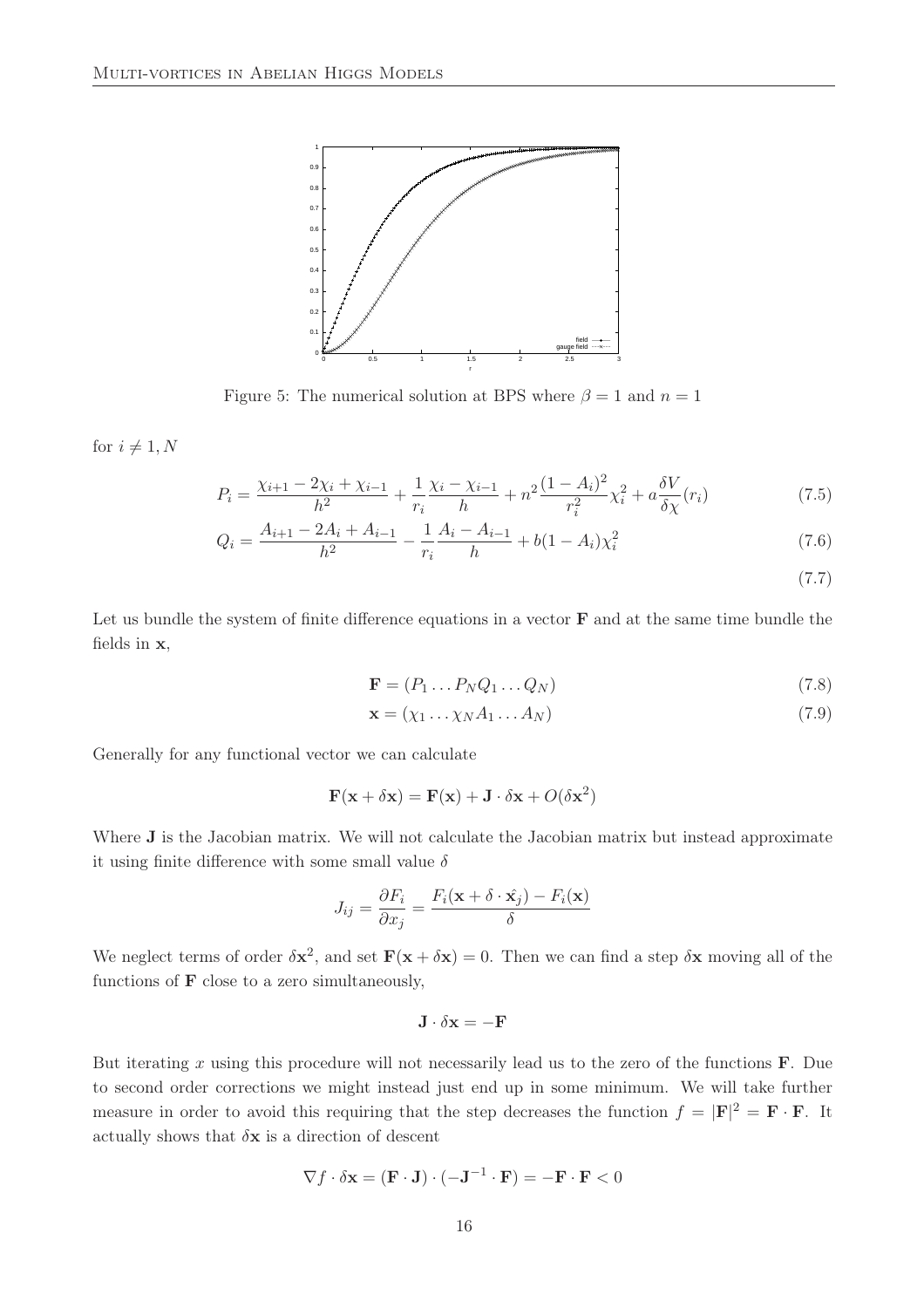

Figure 5: The numerical solution at BPS where  $\beta = 1$  and  $n = 1$ 

for  $i \neq 1, N$ 

$$
P_i = \frac{\chi_{i+1} - 2\chi_i + \chi_{i-1}}{h^2} + \frac{1}{r_i} \frac{\chi_i - \chi_{i-1}}{h} + n^2 \frac{(1 - A_i)^2}{r_i^2} \chi_i^2 + a \frac{\delta V}{\delta \chi}(r_i)
$$
(7.5)

$$
Q_i = \frac{A_{i+1} - 2A_i + A_{i-1}}{h^2} - \frac{1}{r_i} \frac{A_i - A_{i-1}}{h} + b(1 - A_i)\chi_i^2
$$
\n(7.6)

(7.7)

Let us bundle the system of finite difference equations in a vector  $\bf{F}$  and at the same time bundle the fields in x,

$$
\mathbf{F} = (P_1 \dots P_N Q_1 \dots Q_N) \tag{7.8}
$$

$$
\mathbf{x} = (\chi_1 \dots \chi_N A_1 \dots A_N) \tag{7.9}
$$

Generally for any functional vector we can calculate

$$
\mathbf{F}(\mathbf{x} + \delta \mathbf{x}) = \mathbf{F}(\mathbf{x}) + \mathbf{J} \cdot \delta \mathbf{x} + O(\delta \mathbf{x}^2)
$$

Where **J** is the Jacobian matrix. We will not calculate the Jacobian matrix but instead approximate it using finite difference with some small value  $\delta$ 

$$
J_{ij} = \frac{\partial F_i}{\partial x_j} = \frac{F_i(\mathbf{x} + \delta \cdot \hat{\mathbf{x}_j}) - F_i(\mathbf{x})}{\delta}
$$

We neglect terms of order  $\delta x^2$ , and set  $F(x + \delta x) = 0$ . Then we can find a step  $\delta x$  moving all of the functions of  $\bf{F}$  close to a zero simultaneously,

$$
\mathbf{J}\cdot\delta\mathbf{x}=-\mathbf{F}
$$

But iterating x using this procedure will not necessarily lead us to the zero of the functions  $\bf{F}$ . Due to second order corrections we might instead just end up in some minimum. We will take further measure in order to avoid this requiring that the step decreases the function  $f = |\mathbf{F}|^2 = \mathbf{F} \cdot \mathbf{F}$ . It actually shows that  $\delta x$  is a direction of descent

$$
\nabla f \cdot \delta \mathbf{x} = (\mathbf{F} \cdot \mathbf{J}) \cdot (-\mathbf{J}^{-1} \cdot \mathbf{F}) = -\mathbf{F} \cdot \mathbf{F} < 0
$$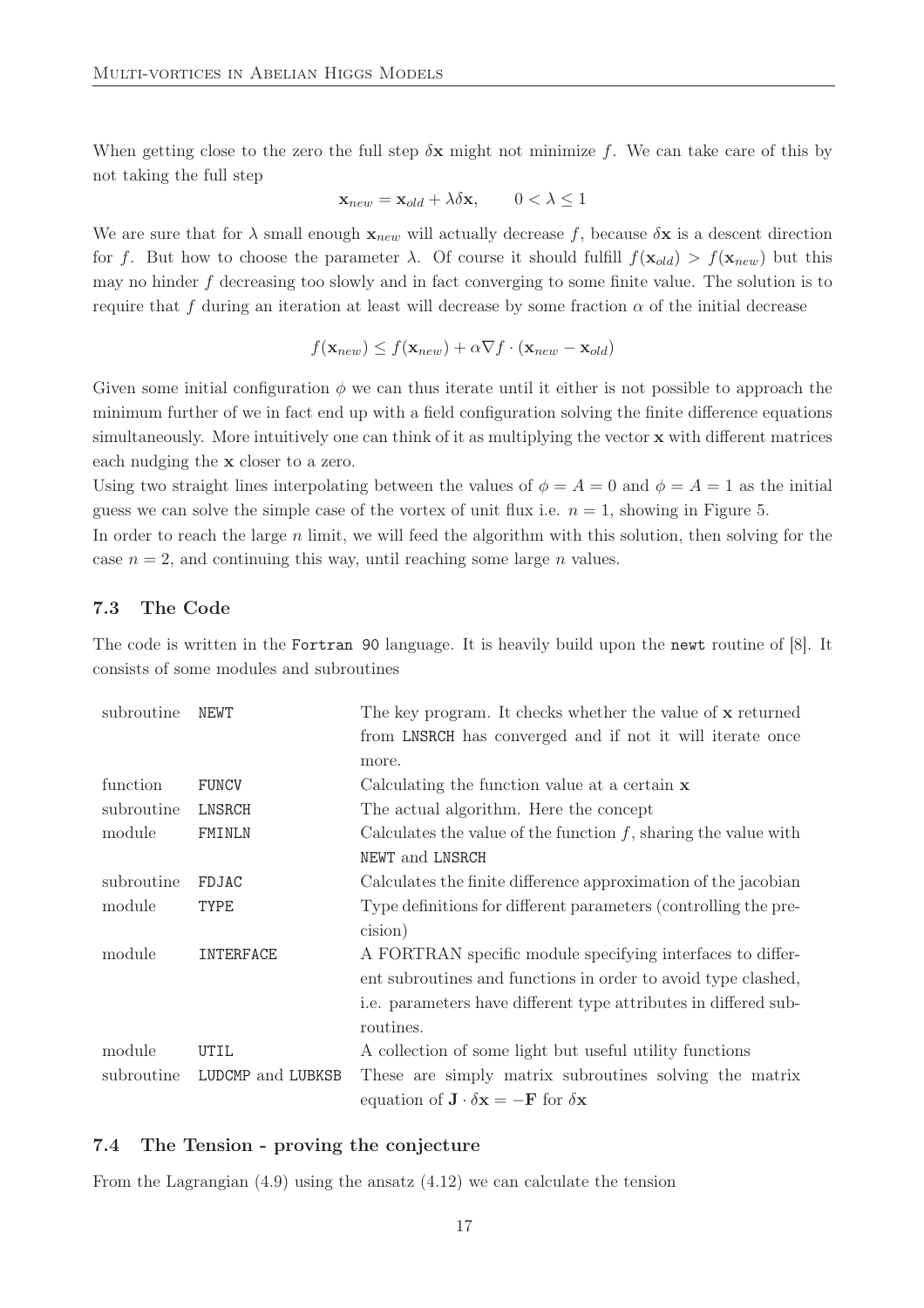When getting close to the zero the full step  $\delta x$  might not minimize f. We can take care of this by not taking the full step

$$
\mathbf{x}_{new} = \mathbf{x}_{old} + \lambda \delta \mathbf{x}, \qquad 0 < \lambda \le 1
$$

We are sure that for  $\lambda$  small enough  $\mathbf{x}_{new}$  will actually decrease f, because  $\delta \mathbf{x}$  is a descent direction for f. But how to choose the parameter  $\lambda$ . Of course it should fulfill  $f(\mathbf{x}_{old}) > f(\mathbf{x}_{new})$  but this may no hinder f decreasing too slowly and in fact converging to some finite value. The solution is to require that f during an iteration at least will decrease by some fraction  $\alpha$  of the initial decrease

$$
f(\mathbf{x}_{new}) \le f(\mathbf{x}_{new}) + \alpha \nabla f \cdot (\mathbf{x}_{new} - \mathbf{x}_{old})
$$

Given some initial configuration  $\phi$  we can thus iterate until it either is not possible to approach the minimum further of we in fact end up with a field configuration solving the finite difference equations simultaneously. More intuitively one can think of it as multiplying the vector  $\bf{x}$  with different matrices each nudging the x closer to a zero.

Using two straight lines interpolating between the values of  $\phi = A = 0$  and  $\phi = A = 1$  as the initial guess we can solve the simple case of the vortex of unit flux i.e.  $n = 1$ , showing in Figure 5.

In order to reach the large  $n$  limit, we will feed the algorithm with this solution, then solving for the case  $n = 2$ , and continuing this way, until reaching some large *n* values.

### 7.3 The Code

The code is written in the Fortran 90 language. It is heavily build upon the newt routine of [8]. It consists of some modules and subroutines

| subroutine | <b>NEWT</b>       | The key program. It checks whether the value of x returned                             |  |
|------------|-------------------|----------------------------------------------------------------------------------------|--|
|            |                   | from LNSRCH has converged and if not it will iterate once                              |  |
|            |                   | more.                                                                                  |  |
| function   | <b>FUNCV</b>      | Calculating the function value at a certain $x$                                        |  |
| subroutine | LNSRCH            | The actual algorithm. Here the concept                                                 |  |
| module     | FMINLN            | Calculates the value of the function $f$ , sharing the value with                      |  |
|            |                   | NEWT and LNSRCH                                                                        |  |
| subroutine | FDJAC             | Calculates the finite difference approximation of the jacobian                         |  |
| module     | <b>TYPE</b>       | Type definitions for different parameters (controlling the pre-                        |  |
|            |                   | cision)                                                                                |  |
| module     | INTERFACE         | A FORTRAN specific module specifying interfaces to differ-                             |  |
|            |                   | ent subroutines and functions in order to avoid type clashed,                          |  |
|            |                   | i.e. parameters have different type attributes in differed sub-                        |  |
|            |                   | routines.                                                                              |  |
| module     | UTIL              | A collection of some light but useful utility functions                                |  |
| subroutine | LUDCMP and LUBKSB | These are simply matrix subroutines solving the matrix                                 |  |
|            |                   | equation of $\mathbf{J} \cdot \delta \mathbf{x} = -\mathbf{F}$ for $\delta \mathbf{x}$ |  |

#### 7.4 The Tension - proving the conjecture

From the Lagrangian  $(4.9)$  using the ansatz  $(4.12)$  we can calculate the tension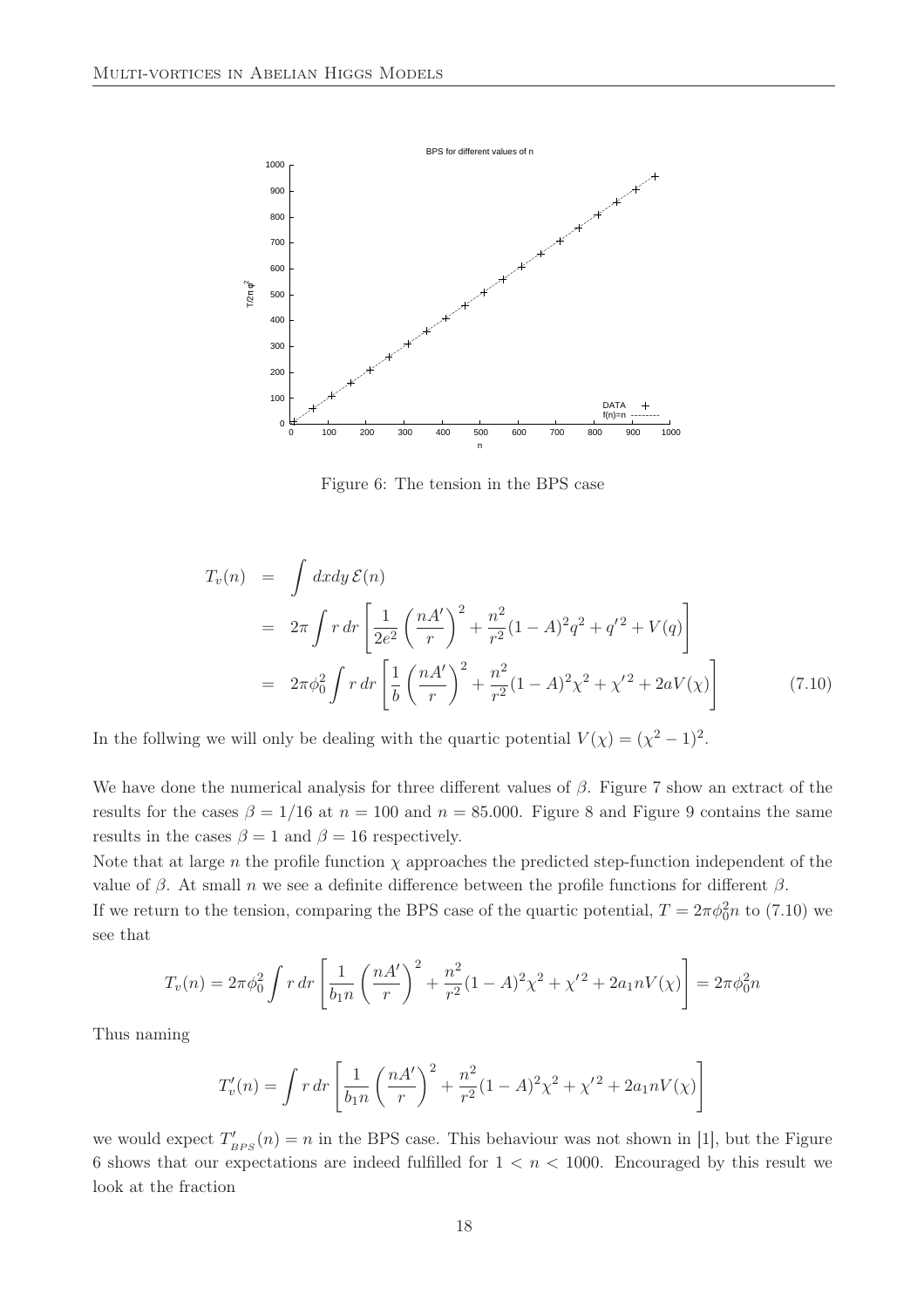

Figure 6: The tension in the BPS case

$$
T_v(n) = \int dx dy \, \mathcal{E}(n)
$$
  
=  $2\pi \int r dr \left[ \frac{1}{2e^2} \left( \frac{nA'}{r} \right)^2 + \frac{n^2}{r^2} (1 - A)^2 q^2 + q'^2 + V(q) \right]$   
=  $2\pi \phi_0^2 \int r dr \left[ \frac{1}{b} \left( \frac{nA'}{r} \right)^2 + \frac{n^2}{r^2} (1 - A)^2 \chi^2 + \chi'^2 + 2aV(\chi) \right]$  (7.10)

In the follwing we will only be dealing with the quartic potential  $V(\chi) = (\chi^2 - 1)^2$ .

We have done the numerical analysis for three different values of  $\beta$ . Figure 7 show an extract of the results for the cases  $\beta = 1/16$  at  $n = 100$  and  $n = 85.000$ . Figure 8 and Figure 9 contains the same results in the cases  $\beta = 1$  and  $\beta = 16$  respectively.

Note that at large n the profile function  $\chi$  approaches the predicted step-function independent of the value of  $\beta$ . At small n we see a definite difference between the profile functions for different  $\beta$ . If we return to the tension, comparing the BPS case of the quartic potential,  $T = 2\pi \phi_0^2 n$  to (7.10) we see that

$$
T_v(n) = 2\pi\phi_0^2 \int r \, dr \left[ \frac{1}{b_1 n} \left( \frac{nA'}{r} \right)^2 + \frac{n^2}{r^2} (1 - A)^2 \chi^2 + \chi'^2 + 2a_1 n V(\chi) \right] = 2\pi\phi_0^2 n
$$

Thus naming

$$
T'_{v}(n) = \int r dr \left[ \frac{1}{b_{1}n} \left( \frac{nA'}{r} \right)^{2} + \frac{n^{2}}{r^{2}} (1 - A)^{2} \chi^{2} + \chi'^{2} + 2a_{1}nV(\chi) \right]
$$

we would expect  $T'_{BPS}(n) = n$  in the BPS case. This behaviour was not shown in [1], but the Figure 6 shows that our expectations are indeed fulfilled for  $1 < n < 1000$ . Encouraged by this result we look at the fraction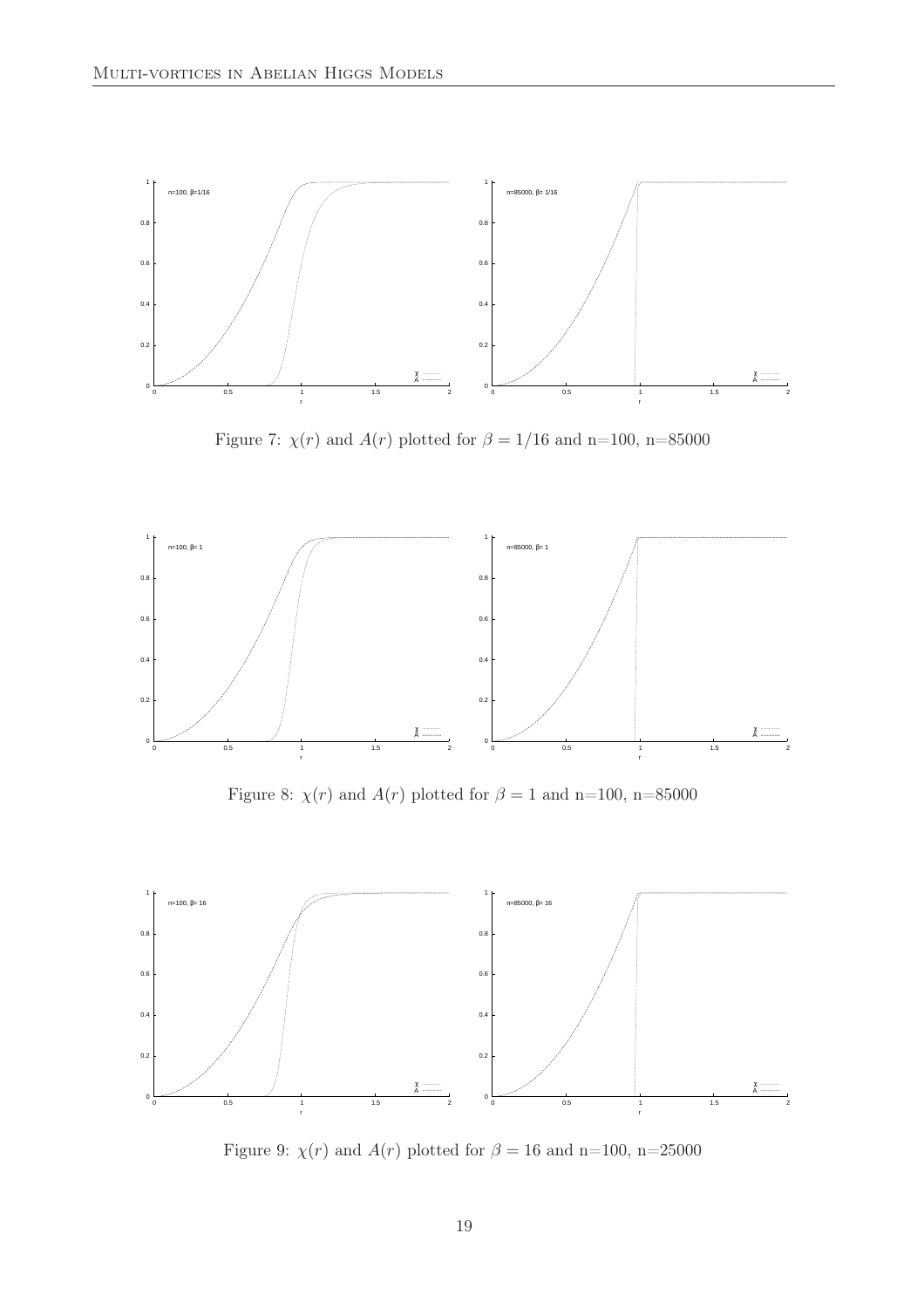

Figure 7:  $\chi(r)$  and  $A(r)$  plotted for  $\beta = 1/16$  and n=100, n=85000



Figure 8:  $\chi(r)$  and  $A(r)$  plotted for  $\beta = 1$  and n=100, n=85000



Figure 9:  $\chi(r)$  and  $A(r)$  plotted for  $\beta = 16$  and n=100, n=25000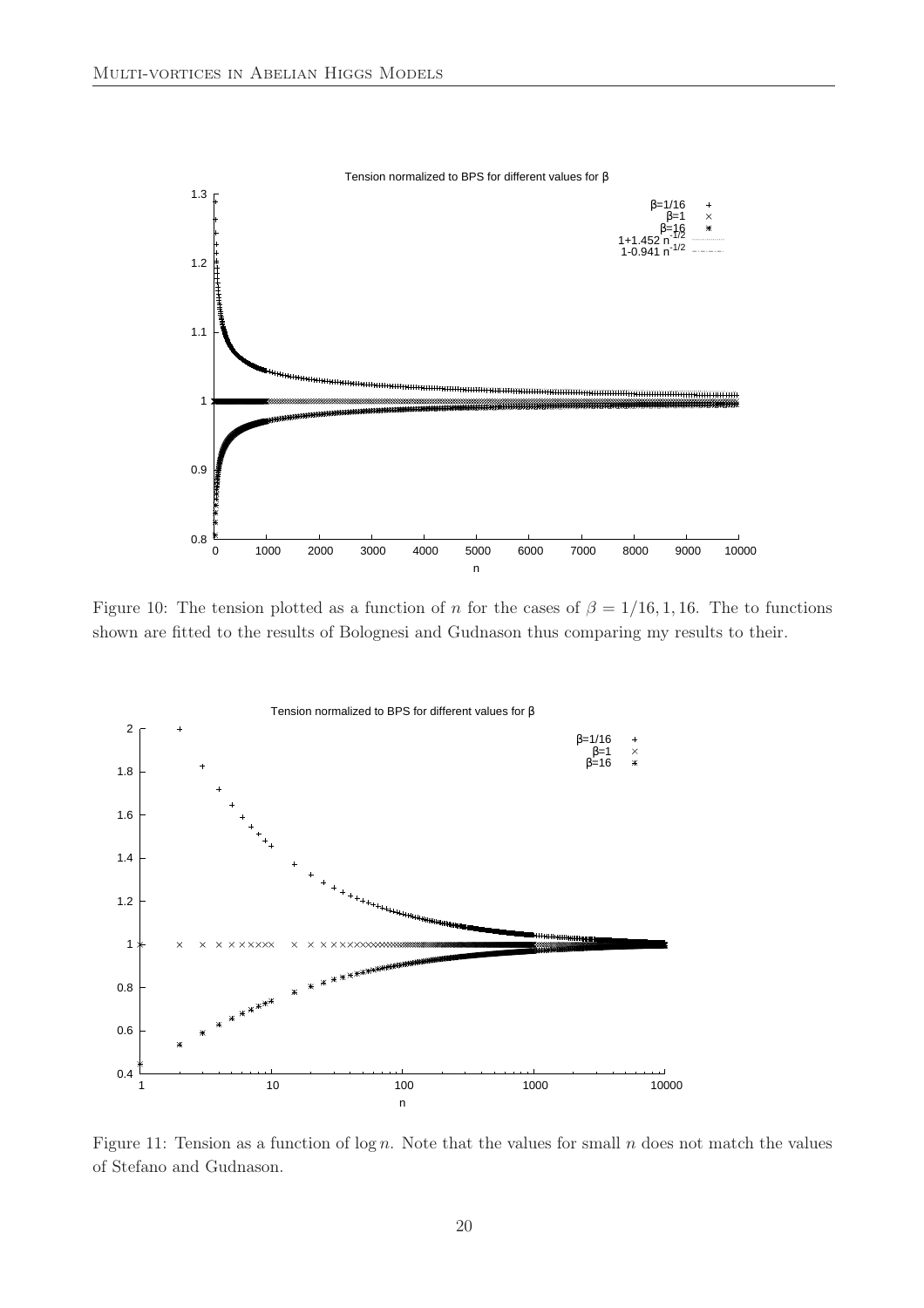

Figure 10: The tension plotted as a function of n for the cases of  $\beta = 1/16, 1, 16$ . The to functions shown are fitted to the results of Bolognesi and Gudnason thus comparing my results to their.



Figure 11: Tension as a function of  $\log n$ . Note that the values for small n does not match the values of Stefano and Gudnason.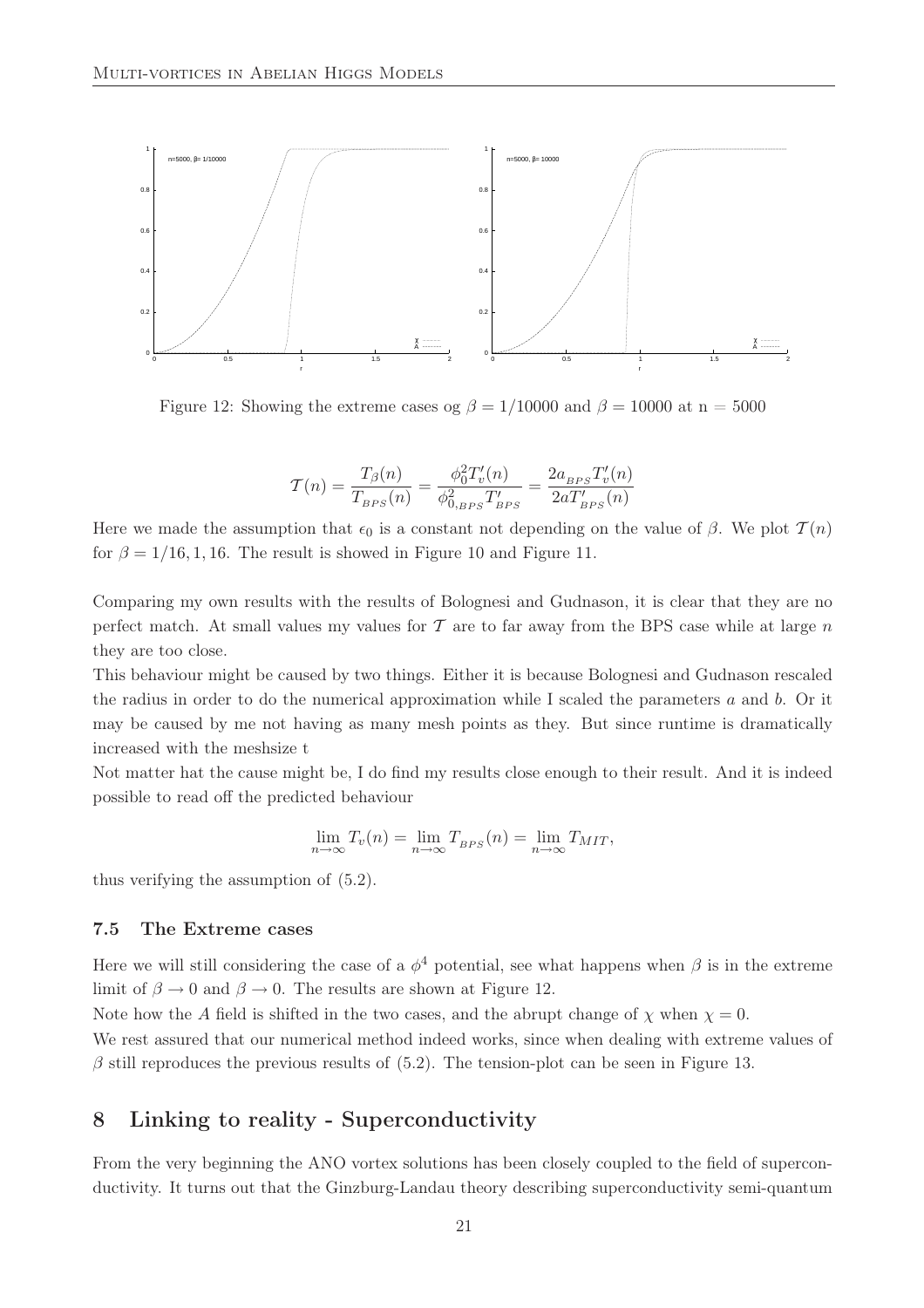

Figure 12: Showing the extreme cases og  $\beta = 1/10000$  and  $\beta = 10000$  at n = 5000

$$
T(n) = \frac{T_{\beta}(n)}{T_{BPS}(n)} = \frac{\phi_0^2 T_v'(n)}{\phi_{0,BPS}^2 T'_{BPS}} = \frac{2a_{BPS}T_v'(n)}{2aT'_{BPS}(n)}
$$

Here we made the assumption that  $\epsilon_0$  is a constant not depending on the value of  $\beta$ . We plot  $\mathcal{T}(n)$ for  $\beta = 1/16, 1, 16$ . The result is showed in Figure 10 and Figure 11.

Comparing my own results with the results of Bolognesi and Gudnason, it is clear that they are no perfect match. At small values my values for  $\mathcal T$  are to far away from the BPS case while at large  $n$ they are too close.

This behaviour might be caused by two things. Either it is because Bolognesi and Gudnason rescaled the radius in order to do the numerical approximation while I scaled the parameters  $a$  and  $b$ . Or it may be caused by me not having as many mesh points as they. But since runtime is dramatically increased with the meshsize t

Not matter hat the cause might be, I do find my results close enough to their result. And it is indeed possible to read off the predicted behaviour

$$
\lim_{n \to \infty} T_v(n) = \lim_{n \to \infty} T_{BPS}(n) = \lim_{n \to \infty} T_{MIT},
$$

thus verifying the assumption of (5.2).

#### 7.5 The Extreme cases

Here we will still considering the case of a  $\phi^4$  potential, see what happens when  $\beta$  is in the extreme limit of  $\beta \to 0$  and  $\beta \to 0$ . The results are shown at Figure 12.

Note how the A field is shifted in the two cases, and the abrupt change of  $\chi$  when  $\chi = 0$ .

We rest assured that our numerical method indeed works, since when dealing with extreme values of  $\beta$  still reproduces the previous results of (5.2). The tension-plot can be seen in Figure 13.

### 8 Linking to reality - Superconductivity

From the very beginning the ANO vortex solutions has been closely coupled to the field of superconductivity. It turns out that the Ginzburg-Landau theory describing superconductivity semi-quantum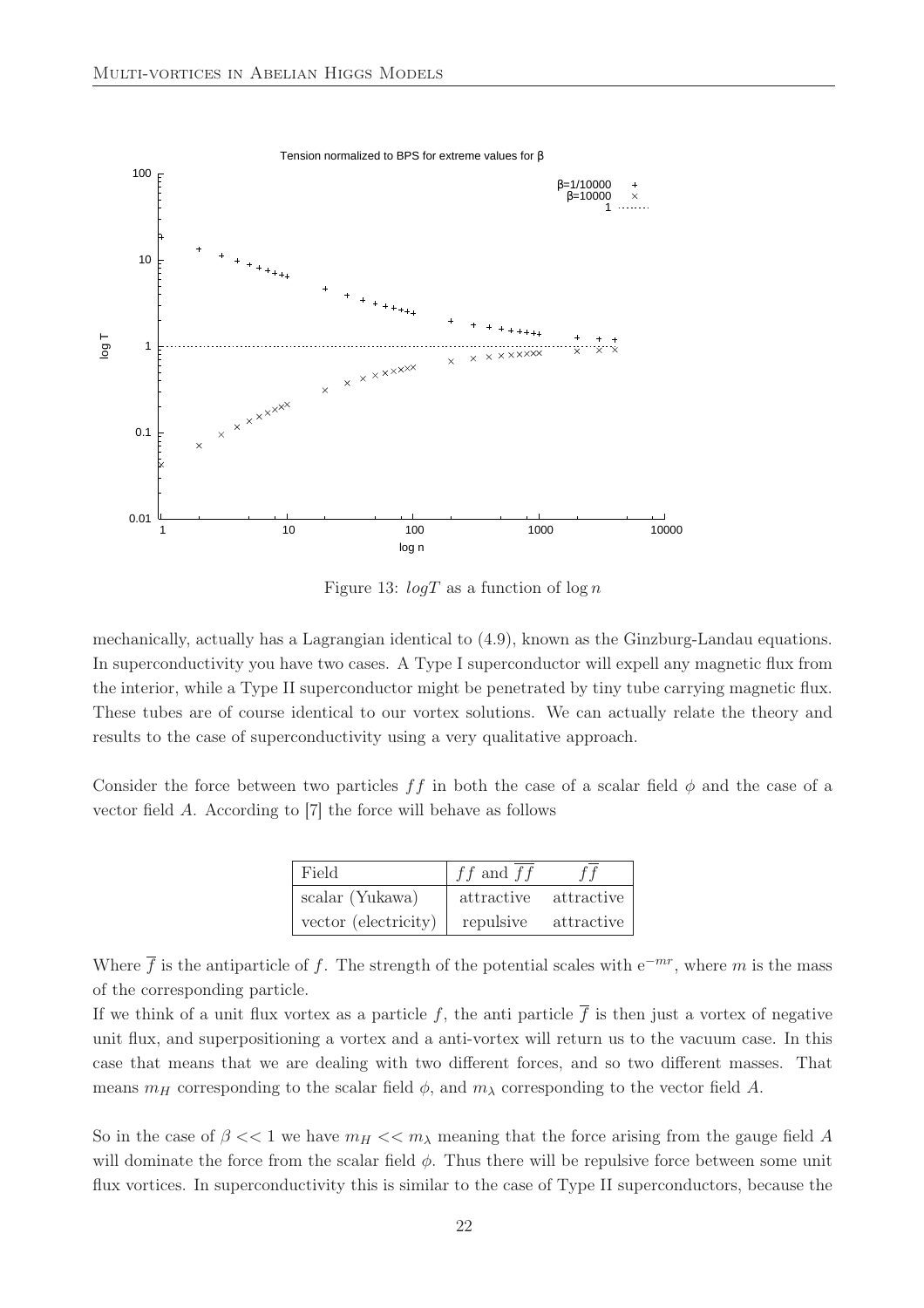

Figure 13:  $logT$  as a function of  $log n$ 

mechanically, actually has a Lagrangian identical to (4.9), known as the Ginzburg-Landau equations. In superconductivity you have two cases. A Type I superconductor will expell any magnetic flux from the interior, while a Type II superconductor might be penetrated by tiny tube carrying magnetic flux. These tubes are of course identical to our vortex solutions. We can actually relate the theory and results to the case of superconductivity using a very qualitative approach.

Consider the force between two particles ff in both the case of a scalar field  $\phi$  and the case of a vector field A. According to [7] the force will behave as follows

| Field                | $ff$ and $ff$         | f f          |
|----------------------|-----------------------|--------------|
| scalar (Yukawa)      | attractive attractive |              |
| vector (electricity) | repulsive             | attractive ' |

Where  $\overline{f}$  is the antiparticle of f. The strength of the potential scales with e<sup>−mr</sup>, where m is the mass of the corresponding particle.

If we think of a unit flux vortex as a particle f, the anti-particle  $\overline{f}$  is then just a vortex of negative unit flux, and superpositioning a vortex and a anti-vortex will return us to the vacuum case. In this case that means that we are dealing with two different forces, and so two different masses. That means  $m_H$  corresponding to the scalar field  $\phi$ , and  $m_\lambda$  corresponding to the vector field A.

So in the case of  $\beta \ll 1$  we have  $m_H \ll m_\lambda$  meaning that the force arising from the gauge field A will dominate the force from the scalar field  $\phi$ . Thus there will be repulsive force between some unit flux vortices. In superconductivity this is similar to the case of Type II superconductors, because the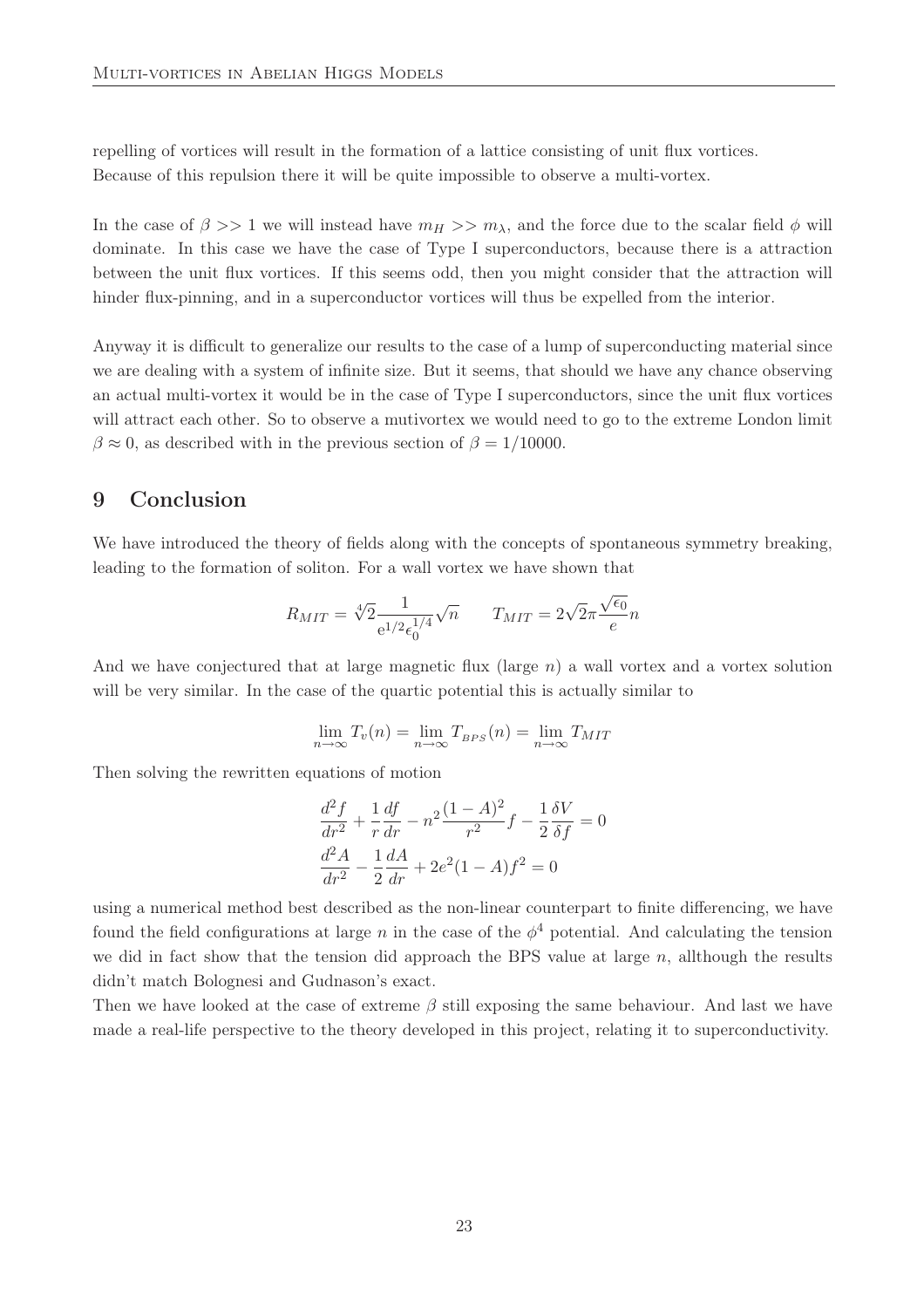repelling of vortices will result in the formation of a lattice consisting of unit flux vortices. Because of this repulsion there it will be quite impossible to observe a multi-vortex.

In the case of  $\beta >> 1$  we will instead have  $m_H >> m_\lambda$ , and the force due to the scalar field  $\phi$  will dominate. In this case we have the case of Type I superconductors, because there is a attraction between the unit flux vortices. If this seems odd, then you might consider that the attraction will hinder flux-pinning, and in a superconductor vortices will thus be expelled from the interior.

Anyway it is difficult to generalize our results to the case of a lump of superconducting material since we are dealing with a system of infinite size. But it seems, that should we have any chance observing an actual multi-vortex it would be in the case of Type I superconductors, since the unit flux vortices will attract each other. So to observe a mutivortex we would need to go to the extreme London limit  $\beta \approx 0$ , as described with in the previous section of  $\beta = 1/10000$ .

### 9 Conclusion

We have introduced the theory of fields along with the concepts of spontaneous symmetry breaking, leading to the formation of soliton. For a wall vortex we have shown that

$$
R_{MIT} = \sqrt[4]{2} \frac{1}{e^{1/2} \epsilon_0^{1/4}} \sqrt{n} \qquad T_{MIT} = 2\sqrt{2}\pi \frac{\sqrt{\epsilon_0}}{e} n
$$

And we have conjectured that at large magnetic flux (large  $n$ ) a wall vortex and a vortex solution will be very similar. In the case of the quartic potential this is actually similar to

$$
\lim_{n \to \infty} T_v(n) = \lim_{n \to \infty} T_{BPS}(n) = \lim_{n \to \infty} T_{MIT}
$$

Then solving the rewritten equations of motion

$$
\frac{d^2f}{dr^2} + \frac{1}{r}\frac{df}{dr} - n^2\frac{(1-A)^2}{r^2}f - \frac{1}{2}\frac{\delta V}{\delta f} = 0
$$

$$
\frac{d^2A}{dr^2} - \frac{1}{2}\frac{dA}{dr} + 2e^2(1-A)f^2 = 0
$$

using a numerical method best described as the non-linear counterpart to finite differencing, we have found the field configurations at large n in the case of the  $\phi^4$  potential. And calculating the tension we did in fact show that the tension did approach the BPS value at large  $n$ , allthough the results didn't match Bolognesi and Gudnason's exact.

Then we have looked at the case of extreme  $\beta$  still exposing the same behaviour. And last we have made a real-life perspective to the theory developed in this project, relating it to superconductivity.